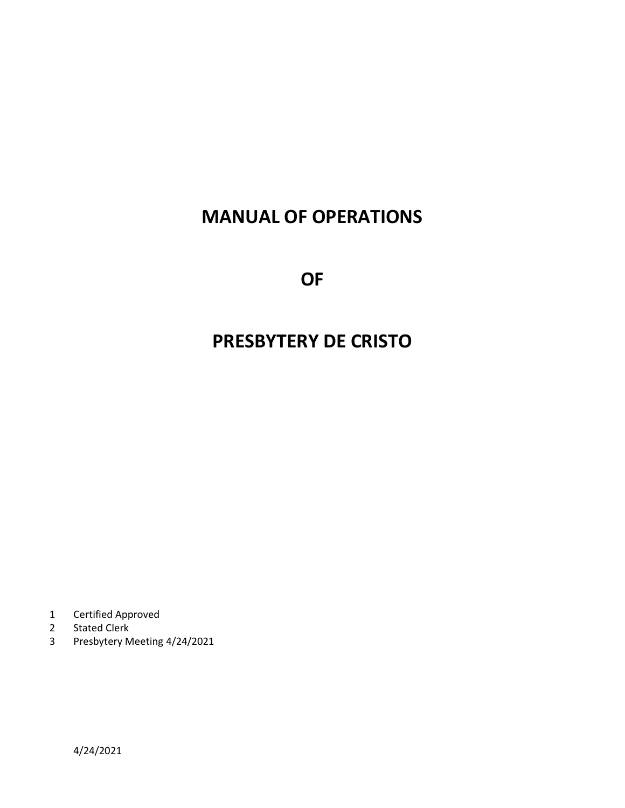# **MANUAL OF OPERATIONS**

**OF**

# **PRESBYTERY DE CRISTO**

- 1 Certified Approved
- 2 Stated Clerk<br>3 Presbytery M
- 3 Presbytery Meeting 4/24/2021

4/24/2021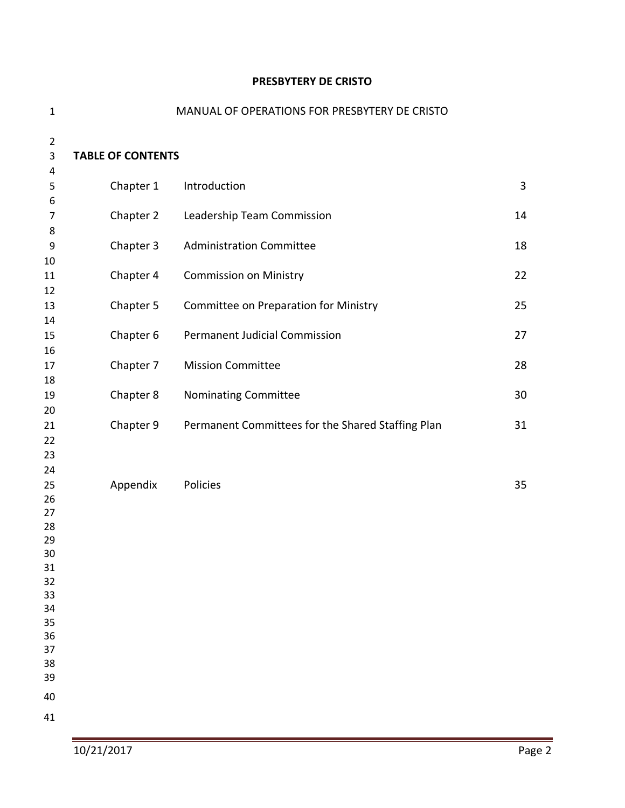#### **PRESBYTERY DE CRISTO**

| $\mathbf{1}$   |                          | MANUAL OF OPERATIONS FOR PRESBYTERY DE CRISTO     |              |
|----------------|--------------------------|---------------------------------------------------|--------------|
| $\overline{2}$ |                          |                                                   |              |
| 3              | <b>TABLE OF CONTENTS</b> |                                                   |              |
| 4<br>5         | Chapter 1                | Introduction                                      | $\mathbf{3}$ |
| 6              |                          |                                                   |              |
| 7<br>8         | Chapter 2                | Leadership Team Commission                        | 14           |
| 9              | Chapter 3                | <b>Administration Committee</b>                   | 18           |
| 10             |                          |                                                   |              |
| 11<br>12       | Chapter 4                | <b>Commission on Ministry</b>                     | 22           |
| 13             | Chapter 5                | Committee on Preparation for Ministry             | 25           |
| 14             |                          |                                                   |              |
| 15             | Chapter 6                | <b>Permanent Judicial Commission</b>              | 27           |
| 16<br>17       | Chapter 7                | <b>Mission Committee</b>                          | 28           |
| 18             |                          |                                                   |              |
| 19             | Chapter 8                | Nominating Committee                              | 30           |
| 20<br>21       | Chapter 9                | Permanent Committees for the Shared Staffing Plan | 31           |
| 22             |                          |                                                   |              |
| 23             |                          |                                                   |              |
| 24             |                          |                                                   |              |
| 25<br>26       | Appendix                 | Policies                                          | 35           |
| 27             |                          |                                                   |              |
| 28             |                          |                                                   |              |
| 29             |                          |                                                   |              |
| 30             |                          |                                                   |              |
| 31<br>32       |                          |                                                   |              |
| 33             |                          |                                                   |              |
| 34             |                          |                                                   |              |
| 35             |                          |                                                   |              |
| 36             |                          |                                                   |              |
| 37             |                          |                                                   |              |
| 38<br>39       |                          |                                                   |              |
| 40             |                          |                                                   |              |
| 41             |                          |                                                   |              |
|                |                          |                                                   |              |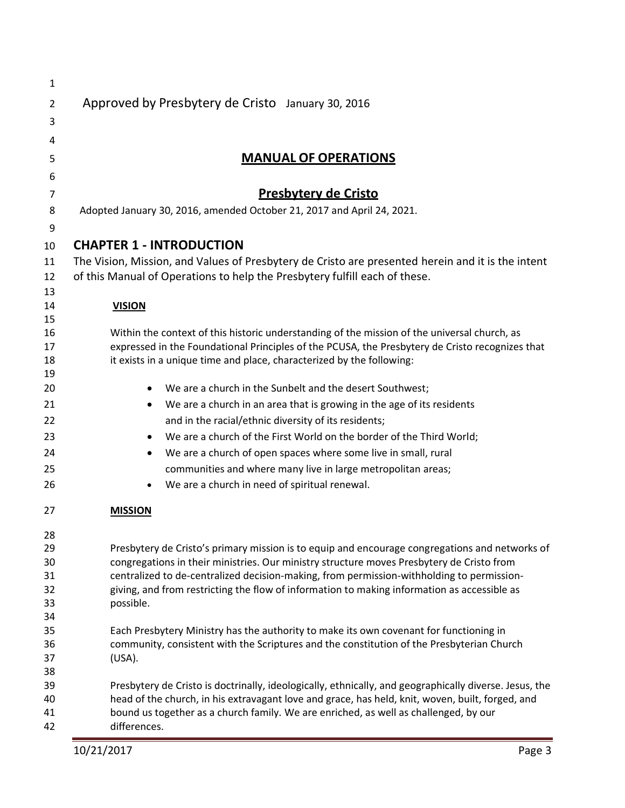| $\mathbf{1}$ |                                                                                                                                                                                                 |
|--------------|-------------------------------------------------------------------------------------------------------------------------------------------------------------------------------------------------|
| 2            | Approved by Presbytery de Cristo January 30, 2016                                                                                                                                               |
| 3            |                                                                                                                                                                                                 |
| 4            |                                                                                                                                                                                                 |
| 5            | <b>MANUAL OF OPERATIONS</b>                                                                                                                                                                     |
| 6            |                                                                                                                                                                                                 |
| 7            | <b>Presbytery de Cristo</b>                                                                                                                                                                     |
| 8            | Adopted January 30, 2016, amended October 21, 2017 and April 24, 2021.                                                                                                                          |
| 9            |                                                                                                                                                                                                 |
| 10           | <b>CHAPTER 1 - INTRODUCTION</b>                                                                                                                                                                 |
| 11           | The Vision, Mission, and Values of Presbytery de Cristo are presented herein and it is the intent                                                                                               |
| 12           | of this Manual of Operations to help the Presbytery fulfill each of these.                                                                                                                      |
| 13           |                                                                                                                                                                                                 |
| 14           | <b>VISION</b>                                                                                                                                                                                   |
| 15           |                                                                                                                                                                                                 |
| 16<br>17     | Within the context of this historic understanding of the mission of the universal church, as<br>expressed in the Foundational Principles of the PCUSA, the Presbytery de Cristo recognizes that |
| 18           | it exists in a unique time and place, characterized by the following:                                                                                                                           |
| 19           |                                                                                                                                                                                                 |
| 20           | We are a church in the Sunbelt and the desert Southwest;<br>$\bullet$                                                                                                                           |
| 21           | We are a church in an area that is growing in the age of its residents<br>$\bullet$                                                                                                             |
| 22           | and in the racial/ethnic diversity of its residents;                                                                                                                                            |
| 23           | We are a church of the First World on the border of the Third World;<br>$\bullet$                                                                                                               |
| 24           | We are a church of open spaces where some live in small, rural<br>٠                                                                                                                             |
| 25           | communities and where many live in large metropolitan areas;                                                                                                                                    |
| 26           | We are a church in need of spiritual renewal.                                                                                                                                                   |
| 27           | <b>MISSION</b>                                                                                                                                                                                  |
|              |                                                                                                                                                                                                 |
| 28<br>29     | Presbytery de Cristo's primary mission is to equip and encourage congregations and networks of                                                                                                  |
| 30           | congregations in their ministries. Our ministry structure moves Presbytery de Cristo from                                                                                                       |
| 31           | centralized to de-centralized decision-making, from permission-withholding to permission-                                                                                                       |
| 32           | giving, and from restricting the flow of information to making information as accessible as                                                                                                     |
| 33           | possible.                                                                                                                                                                                       |
| 34           |                                                                                                                                                                                                 |
| 35           | Each Presbytery Ministry has the authority to make its own covenant for functioning in                                                                                                          |
| 36<br>37     | community, consistent with the Scriptures and the constitution of the Presbyterian Church<br>(USA).                                                                                             |
| 38           |                                                                                                                                                                                                 |
| 39           | Presbytery de Cristo is doctrinally, ideologically, ethnically, and geographically diverse. Jesus, the                                                                                          |
| 40           | head of the church, in his extravagant love and grace, has held, knit, woven, built, forged, and                                                                                                |
| 41           | bound us together as a church family. We are enriched, as well as challenged, by our                                                                                                            |
| 42           | differences.                                                                                                                                                                                    |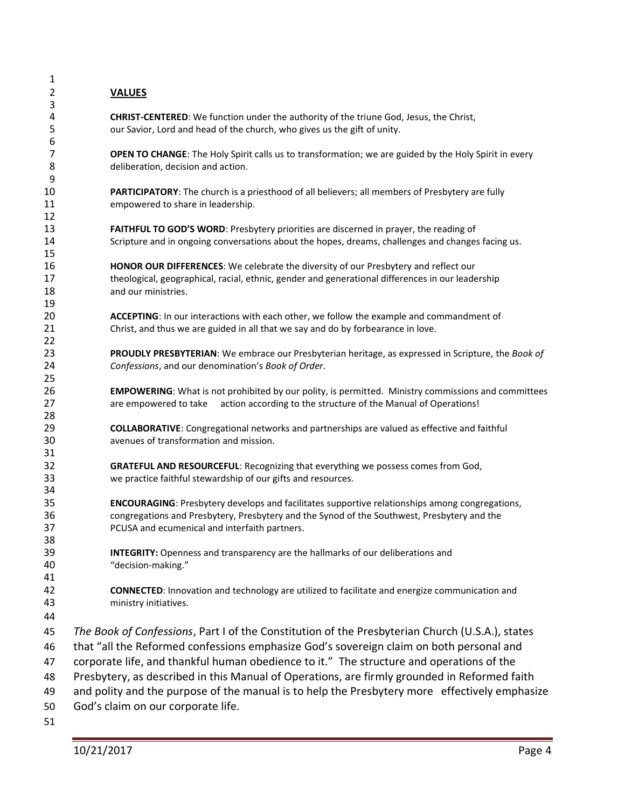| 1              |                                                                                                            |
|----------------|------------------------------------------------------------------------------------------------------------|
| $\overline{2}$ | <b>VALUES</b>                                                                                              |
| 3              |                                                                                                            |
| 4              | CHRIST-CENTERED: We function under the authority of the triune God, Jesus, the Christ,                     |
| 5              | our Savior, Lord and head of the church, who gives us the gift of unity.                                   |
| 6              |                                                                                                            |
| 7              | OPEN TO CHANGE: The Holy Spirit calls us to transformation; we are guided by the Holy Spirit in every      |
| 8              | deliberation, decision and action.                                                                         |
| 9              |                                                                                                            |
| 10             | PARTICIPATORY: The church is a priesthood of all believers; all members of Presbytery are fully            |
| 11             | empowered to share in leadership.                                                                          |
| 12             |                                                                                                            |
| 13             | FAITHFUL TO GOD'S WORD: Presbytery priorities are discerned in prayer, the reading of                      |
| 14             | Scripture and in ongoing conversations about the hopes, dreams, challenges and changes facing us.          |
| 15             |                                                                                                            |
| 16             | HONOR OUR DIFFERENCES: We celebrate the diversity of our Presbytery and reflect our                        |
| 17             | theological, geographical, racial, ethnic, gender and generational differences in our leadership           |
| 18             | and our ministries.                                                                                        |
| 19             |                                                                                                            |
| 20             | ACCEPTING: In our interactions with each other, we follow the example and commandment of                   |
| 21             | Christ, and thus we are guided in all that we say and do by forbearance in love.                           |
| 22             |                                                                                                            |
| 23             | PROUDLY PRESBYTERIAN: We embrace our Presbyterian heritage, as expressed in Scripture, the Book of         |
| 24             | Confessions, and our denomination's Book of Order.                                                         |
| 25             |                                                                                                            |
| 26             | <b>EMPOWERING:</b> What is not prohibited by our polity, is permitted. Ministry commissions and committees |
| 27             | are empowered to take<br>action according to the structure of the Manual of Operations!                    |
| 28             |                                                                                                            |
| 29             | <b>COLLABORATIVE:</b> Congregational networks and partnerships are valued as effective and faithful        |
| 30             | avenues of transformation and mission.                                                                     |
| 31             |                                                                                                            |
| 32             | GRATEFUL AND RESOURCEFUL: Recognizing that everything we possess comes from God,                           |
| 33             | we practice faithful stewardship of our gifts and resources.                                               |
| 34             |                                                                                                            |
| 35             | ENCOURAGING: Presbytery develops and facilitates supportive relationships among congregations,             |
| 36             | congregations and Presbytery, Presbytery and the Synod of the Southwest, Presbytery and the                |
| 37             | PCUSA and ecumenical and interfaith partners.                                                              |
| 38             |                                                                                                            |
| 39             | INTEGRITY: Openness and transparency are the hallmarks of our deliberations and                            |
| 40             | "decision-making."                                                                                         |
| 41             |                                                                                                            |
| 42             | <b>CONNECTED:</b> Innovation and technology are utilized to facilitate and energize communication and      |
| 43             | ministry initiatives.                                                                                      |
| 44             |                                                                                                            |
| 45             | The Book of Confessions, Part I of the Constitution of the Presbyterian Church (U.S.A.), states            |
|                |                                                                                                            |
| 46             | that "all the Reformed confessions emphasize God's sovereign claim on both personal and                    |
| 47             | corporate life, and thankful human obedience to it." The structure and operations of the                   |
| 48             | Presbytery, as described in this Manual of Operations, are firmly grounded in Reformed faith               |
| 49             | and polity and the purpose of the manual is to help the Presbytery more effectively emphasize              |
| 50             | God's claim on our corporate life.                                                                         |
| п.             |                                                                                                            |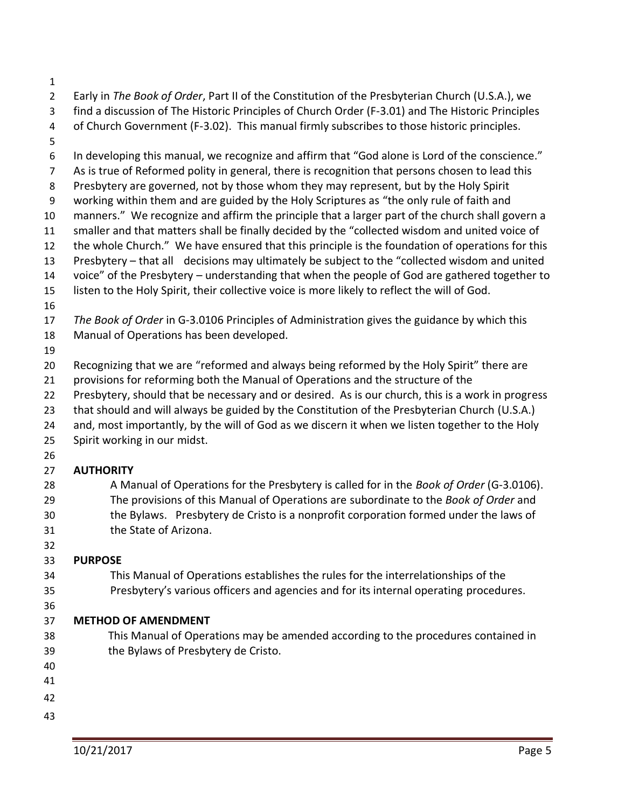- 
- Early in *The Book of Order*, Part II of the Constitution of the Presbyterian Church (U.S.A.), we
- find a discussion of The Historic Principles of Church Order (F-3.01) and The Historic Principles
- of Church Government (F-3.02). This manual firmly subscribes to those historic principles.
- 
- In developing this manual, we recognize and affirm that "God alone is Lord of the conscience." As is true of Reformed polity in general, there is recognition that persons chosen to lead this Presbytery are governed, not by those whom they may represent, but by the Holy Spirit working within them and are guided by the Holy Scriptures as "the only rule of faith and manners." We recognize and affirm the principle that a larger part of the church shall govern a smaller and that matters shall be finally decided by the "collected wisdom and united voice of the whole Church." We have ensured that this principle is the foundation of operations for this Presbytery – that all decisions may ultimately be subject to the "collected wisdom and united
- voice" of the Presbytery understanding that when the people of God are gathered together to
- listen to the Holy Spirit, their collective voice is more likely to reflect the will of God.
- 
- *The Book of Order* in G-3.0106 Principles of Administration gives the guidance by which this Manual of Operations has been developed.
- 
- Recognizing that we are "reformed and always being reformed by the Holy Spirit" there are
- provisions for reforming both the Manual of Operations and the structure of the
- Presbytery, should that be necessary and or desired. As is our church, this is a work in progress
- that should and will always be guided by the Constitution of the Presbyterian Church (U.S.A.)
- 24 and, most importantly, by the will of God as we discern it when we listen together to the Holy
- Spirit working in our midst.
- 

### **AUTHORITY**

- A Manual of Operations for the Presbytery is called for in the *Book of Order* (G-3.0106). The provisions of this Manual of Operations are subordinate to the *Book of Order* and the Bylaws. Presbytery de Cristo is a nonprofit corporation formed under the laws of the State of Arizona.
- 

## **PURPOSE**

- This Manual of Operations establishes the rules for the interrelationships of the Presbytery's various officers and agencies and for its internal operating procedures.
- 
- 

## **METHOD OF AMENDMENT**

- This Manual of Operations may be amended according to the procedures contained in the Bylaws of Presbytery de Cristo.
- 
- 
- 
-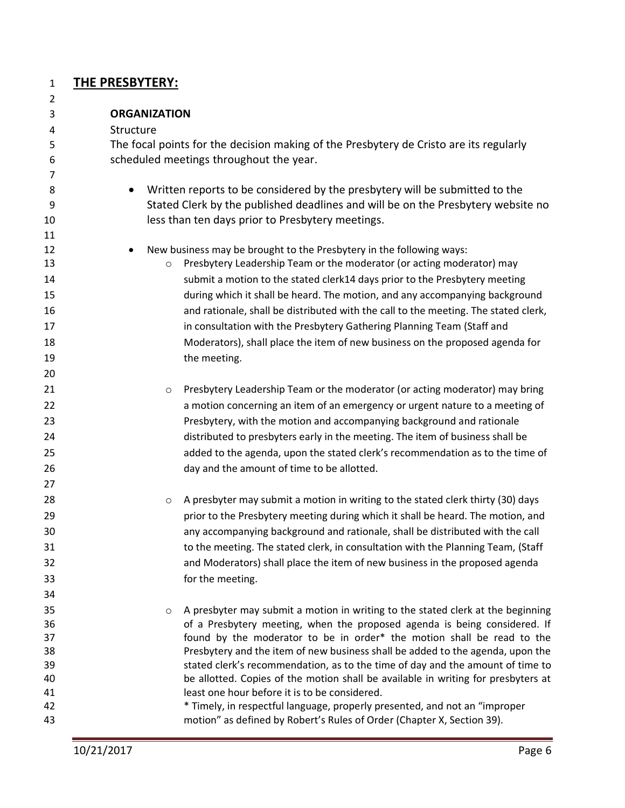#### **THE PRESBYTERY:**

 **ORGANIZATION** Structure The focal points for the decision making of the Presbytery de Cristo are its regularly scheduled meetings throughout the year. • Written reports to be considered by the presbytery will be submitted to the Stated Clerk by the published deadlines and will be on the Presbytery website no less than ten days prior to Presbytery meetings. 12 • New business may be brought to the Presbytery in the following ways: **13** o Presbytery Leadership Team or the moderator (or acting moderator) may submit a motion to the stated clerk14 days prior to the Presbytery meeting during which it shall be heard. The motion, and any accompanying background and rationale, shall be distributed with the call to the meeting. The stated clerk, 17 17 **in consultation with the Presbytery Gathering Planning Team (Staff and**  Moderators), shall place the item of new business on the proposed agenda for 19 the meeting. **b Common Prespytery Leadership Team or the moderator (or acting moderator) may bring**  a motion concerning an item of an emergency or urgent nature to a meeting of Presbytery, with the motion and accompanying background and rationale distributed to presbyters early in the meeting. The item of business shall be added to the agenda, upon the stated clerk's recommendation as to the time of day and the amount of time to be allotted. **b a presbyter may submit a motion in writing to the stated clerk thirty (30) days** and the stated clerk thirty (30) days **prior to the Presbytery meeting during which it shall be heard. The motion, and**  any accompanying background and rationale, shall be distributed with the call to the meeting. The stated clerk, in consultation with the Planning Team, (Staff and Moderators) shall place the item of new business in the proposed agenda for the meeting. o A presbyter may submit a motion in writing to the stated clerk at the beginning of a Presbytery meeting, when the proposed agenda is being considered. If found by the moderator to be in order\* the motion shall be read to the Presbytery and the item of new business shall be added to the agenda, upon the stated clerk's recommendation, as to the time of day and the amount of time to be allotted. Copies of the motion shall be available in writing for presbyters at least one hour before it is to be considered. \* Timely, in respectful language, properly presented, and not an "improper motion" as defined by Robert's Rules of Order (Chapter X, Section 39).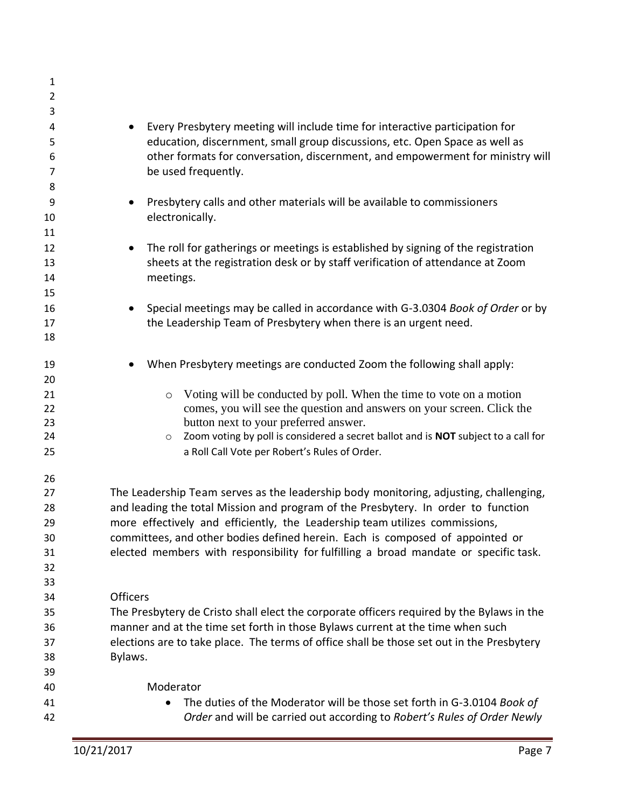| $\mathbf{1}$   |                                                                                               |
|----------------|-----------------------------------------------------------------------------------------------|
| $\overline{2}$ |                                                                                               |
| 3              |                                                                                               |
| 4              | Every Presbytery meeting will include time for interactive participation for                  |
| 5              | education, discernment, small group discussions, etc. Open Space as well as                   |
| 6              | other formats for conversation, discernment, and empowerment for ministry will                |
| 7              | be used frequently.                                                                           |
| 8              |                                                                                               |
| 9              | Presbytery calls and other materials will be available to commissioners                       |
| 10             | electronically.                                                                               |
| 11             |                                                                                               |
| 12             | The roll for gatherings or meetings is established by signing of the registration             |
| 13             | sheets at the registration desk or by staff verification of attendance at Zoom                |
| 14             | meetings.                                                                                     |
| 15             |                                                                                               |
| 16             | Special meetings may be called in accordance with G-3.0304 Book of Order or by                |
| 17             | the Leadership Team of Presbytery when there is an urgent need.                               |
| 18             |                                                                                               |
|                |                                                                                               |
| 19             | When Presbytery meetings are conducted Zoom the following shall apply:                        |
| 20             |                                                                                               |
| 21             | Voting will be conducted by poll. When the time to vote on a motion<br>$\circ$                |
| 22             | comes, you will see the question and answers on your screen. Click the                        |
| 23             | button next to your preferred answer.                                                         |
| 24             | Zoom voting by poll is considered a secret ballot and is NOT subject to a call for<br>$\circ$ |
| 25             | a Roll Call Vote per Robert's Rules of Order.                                                 |
| 26             |                                                                                               |
| 27             | The Leadership Team serves as the leadership body monitoring, adjusting, challenging,         |
| 28             | and leading the total Mission and program of the Presbytery. In order to function             |
| 29             | more effectively and efficiently, the Leadership team utilizes commissions,                   |
| 30             | committees, and other bodies defined herein. Each is composed of appointed or                 |
| 31             | elected members with responsibility for fulfilling a broad mandate or specific task.          |
| 32             |                                                                                               |
| 33             |                                                                                               |
| 34             | <b>Officers</b>                                                                               |
| 35             | The Presbytery de Cristo shall elect the corporate officers required by the Bylaws in the     |
| 36             | manner and at the time set forth in those Bylaws current at the time when such                |
| 37             | elections are to take place. The terms of office shall be those set out in the Presbytery     |
| 38             | Bylaws.                                                                                       |
| 39             |                                                                                               |
| 40             | Moderator                                                                                     |
| 41             | The duties of the Moderator will be those set forth in G-3.0104 Book of                       |
| 42             | Order and will be carried out according to Robert's Rules of Order Newly                      |
|                |                                                                                               |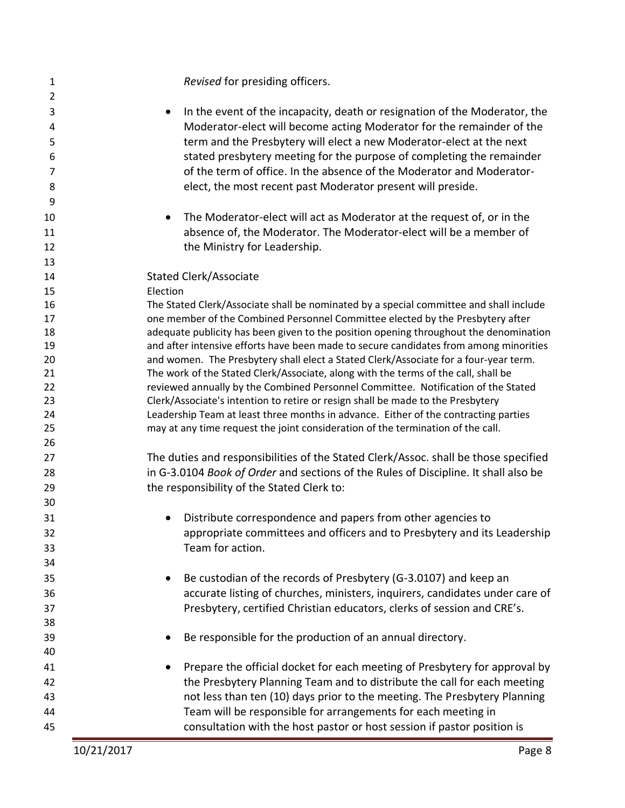| $\mathbf{1}$   | Revised for presiding officers.                                                                                                                                            |
|----------------|----------------------------------------------------------------------------------------------------------------------------------------------------------------------------|
| $\overline{2}$ |                                                                                                                                                                            |
| 3              | In the event of the incapacity, death or resignation of the Moderator, the                                                                                                 |
| 4              | Moderator-elect will become acting Moderator for the remainder of the                                                                                                      |
| 5              | term and the Presbytery will elect a new Moderator-elect at the next                                                                                                       |
| 6              | stated presbytery meeting for the purpose of completing the remainder                                                                                                      |
| 7              | of the term of office. In the absence of the Moderator and Moderator-                                                                                                      |
| 8              | elect, the most recent past Moderator present will preside.                                                                                                                |
| 9              |                                                                                                                                                                            |
| 10             | The Moderator-elect will act as Moderator at the request of, or in the                                                                                                     |
| 11             | absence of, the Moderator. The Moderator-elect will be a member of                                                                                                         |
| 12             | the Ministry for Leadership.                                                                                                                                               |
| 13             |                                                                                                                                                                            |
| 14             | <b>Stated Clerk/Associate</b>                                                                                                                                              |
| 15             | Election                                                                                                                                                                   |
| 16             | The Stated Clerk/Associate shall be nominated by a special committee and shall include                                                                                     |
| 17             | one member of the Combined Personnel Committee elected by the Presbytery after                                                                                             |
| 18             | adequate publicity has been given to the position opening throughout the denomination                                                                                      |
| 19             | and after intensive efforts have been made to secure candidates from among minorities                                                                                      |
| 20             | and women. The Presbytery shall elect a Stated Clerk/Associate for a four-year term.                                                                                       |
| 21             | The work of the Stated Clerk/Associate, along with the terms of the call, shall be                                                                                         |
| 22             | reviewed annually by the Combined Personnel Committee. Notification of the Stated                                                                                          |
| 23             | Clerk/Associate's intention to retire or resign shall be made to the Presbytery                                                                                            |
| 24<br>25       | Leadership Team at least three months in advance. Either of the contracting parties<br>may at any time request the joint consideration of the termination of the call.     |
| 26             |                                                                                                                                                                            |
| 27             |                                                                                                                                                                            |
|                | The duties and responsibilities of the Stated Clerk/Assoc. shall be those specified<br>in G-3.0104 Book of Order and sections of the Rules of Discipline. It shall also be |
| 28             | the responsibility of the Stated Clerk to:                                                                                                                                 |
| 29             |                                                                                                                                                                            |
| 30             |                                                                                                                                                                            |
| 31             | Distribute correspondence and papers from other agencies to                                                                                                                |
| 32             | appropriate committees and officers and to Presbytery and its Leadership                                                                                                   |
| 33             | Team for action.                                                                                                                                                           |
| 34             |                                                                                                                                                                            |
| 35             | Be custodian of the records of Presbytery (G-3.0107) and keep an                                                                                                           |
| 36             | accurate listing of churches, ministers, inquirers, candidates under care of                                                                                               |
| 37             | Presbytery, certified Christian educators, clerks of session and CRE's.                                                                                                    |
| 38             |                                                                                                                                                                            |
| 39             | Be responsible for the production of an annual directory.                                                                                                                  |
| 40             |                                                                                                                                                                            |
| 41             | Prepare the official docket for each meeting of Presbytery for approval by                                                                                                 |
| 42             | the Presbytery Planning Team and to distribute the call for each meeting                                                                                                   |
| 43             | not less than ten (10) days prior to the meeting. The Presbytery Planning                                                                                                  |
| 44             | Team will be responsible for arrangements for each meeting in                                                                                                              |
| 45             | consultation with the host pastor or host session if pastor position is                                                                                                    |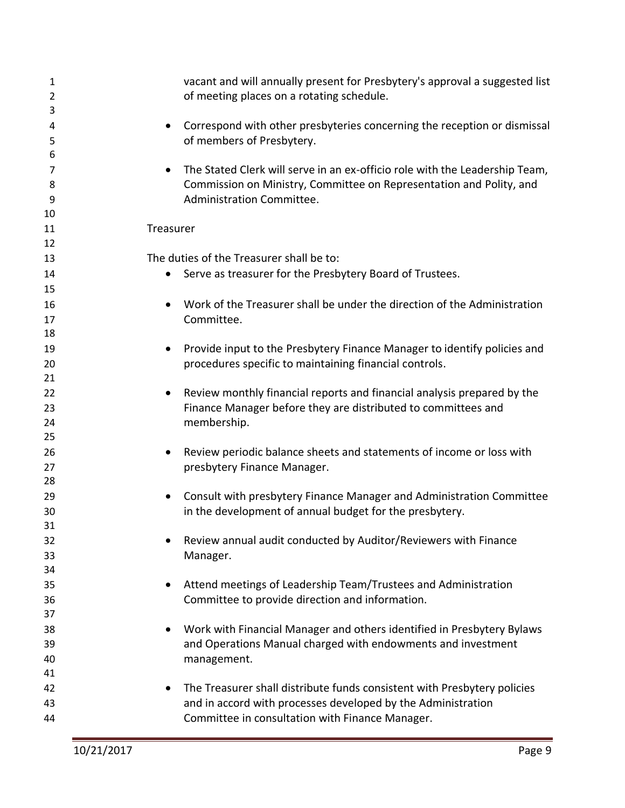| 1<br>$\overline{2}$ | vacant and will annually present for Presbytery's approval a suggested list<br>of meeting places on a rotating schedule. |
|---------------------|--------------------------------------------------------------------------------------------------------------------------|
| 3                   |                                                                                                                          |
| 4                   | Correspond with other presbyteries concerning the reception or dismissal                                                 |
| 5                   | of members of Presbytery.                                                                                                |
| 6                   |                                                                                                                          |
| 7                   | The Stated Clerk will serve in an ex-officio role with the Leadership Team,                                              |
| 8                   | Commission on Ministry, Committee on Representation and Polity, and                                                      |
| 9                   | Administration Committee.                                                                                                |
| 10                  |                                                                                                                          |
| 11                  | Treasurer                                                                                                                |
| 12                  |                                                                                                                          |
| 13                  | The duties of the Treasurer shall be to:                                                                                 |
| 14                  | Serve as treasurer for the Presbytery Board of Trustees.                                                                 |
| 15                  |                                                                                                                          |
| 16                  | Work of the Treasurer shall be under the direction of the Administration                                                 |
| 17                  | Committee.                                                                                                               |
| 18                  |                                                                                                                          |
| 19                  | Provide input to the Presbytery Finance Manager to identify policies and<br>$\bullet$                                    |
| 20                  | procedures specific to maintaining financial controls.                                                                   |
| 21                  |                                                                                                                          |
| 22                  | Review monthly financial reports and financial analysis prepared by the<br>$\bullet$                                     |
| 23                  | Finance Manager before they are distributed to committees and                                                            |
| 24                  | membership.                                                                                                              |
| 25                  |                                                                                                                          |
| 26                  | Review periodic balance sheets and statements of income or loss with                                                     |
| 27                  | presbytery Finance Manager.                                                                                              |
| 28                  |                                                                                                                          |
| 29                  | Consult with presbytery Finance Manager and Administration Committee<br>$\bullet$                                        |
| 30<br>31            | in the development of annual budget for the presbytery.                                                                  |
| 32                  | Review annual audit conducted by Auditor/Reviewers with Finance                                                          |
| 33                  | Manager.                                                                                                                 |
| 34                  |                                                                                                                          |
| 35                  | Attend meetings of Leadership Team/Trustees and Administration                                                           |
| 36                  | Committee to provide direction and information.                                                                          |
| 37                  |                                                                                                                          |
| 38                  | Work with Financial Manager and others identified in Presbytery Bylaws                                                   |
| 39                  | and Operations Manual charged with endowments and investment                                                             |
| 40                  | management.                                                                                                              |
| 41                  |                                                                                                                          |
| 42                  | The Treasurer shall distribute funds consistent with Presbytery policies                                                 |
| 43                  | and in accord with processes developed by the Administration                                                             |
| 44                  | Committee in consultation with Finance Manager.                                                                          |
|                     |                                                                                                                          |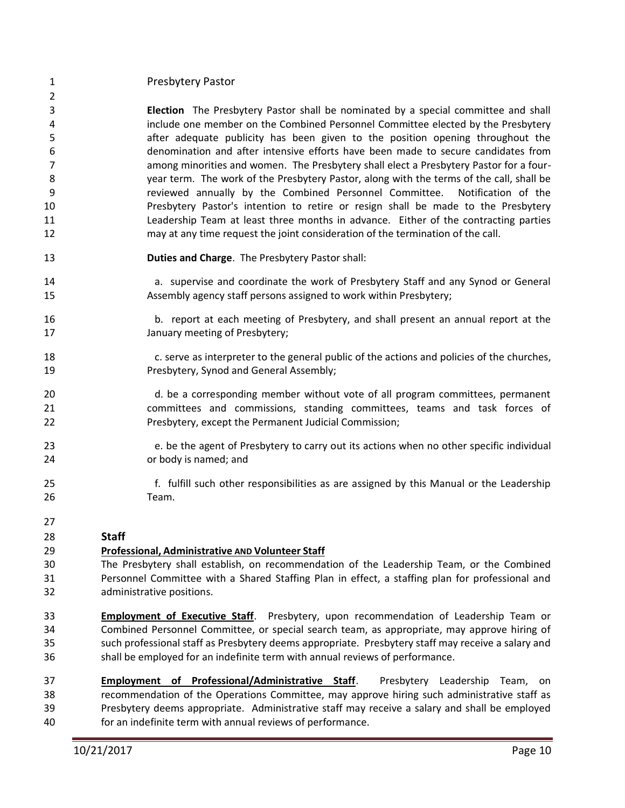#### Presbytery Pastor

- **Election** The Presbytery Pastor shall be nominated by a special committee and shall include one member on the Combined Personnel Committee elected by the Presbytery after adequate publicity has been given to the position opening throughout the denomination and after intensive efforts have been made to secure candidates from among minorities and women. The Presbytery shall elect a Presbytery Pastor for a four- year term. The work of the Presbytery Pastor, along with the terms of the call, shall be reviewed annually by the Combined Personnel Committee. Notification of the Presbytery Pastor's intention to retire or resign shall be made to the Presbytery Leadership Team at least three months in advance. Either of the contracting parties may at any time request the joint consideration of the termination of the call.
- **Duties and Charge**. The Presbytery Pastor shall:
- 14 a. supervise and coordinate the work of Presbytery Staff and any Synod or General Assembly agency staff persons assigned to work within Presbytery;
- 16 b. report at each meeting of Presbytery, and shall present an annual report at the January meeting of Presbytery;
- 18 c. serve as interpreter to the general public of the actions and policies of the churches, Presbytery, Synod and General Assembly;
- 20 d. be a corresponding member without vote of all program committees, permanent committees and commissions, standing committees, teams and task forces of Presbytery, except the Permanent Judicial Commission;
- 23 e. be the agent of Presbytery to carry out its actions when no other specific individual or body is named; and
- 25 f. fulfill such other responsibilities as are assigned by this Manual or the Leadership Team.
- 

#### **Staff**

#### **Professional, Administrative AND Volunteer Staff**

- The Presbytery shall establish, on recommendation of the Leadership Team, or the Combined Personnel Committee with a Shared Staffing Plan in effect, a staffing plan for professional and administrative positions.
- **Employment of Executive Staff**. Presbytery, upon recommendation of Leadership Team or Combined Personnel Committee, or special search team, as appropriate, may approve hiring of such professional staff as Presbytery deems appropriate. Presbytery staff may receive a salary and shall be employed for an indefinite term with annual reviews of performance.
- **Employment of Professional/Administrative Staff**. Presbytery Leadership Team, on recommendation of the Operations Committee, may approve hiring such administrative staff as Presbytery deems appropriate. Administrative staff may receive a salary and shall be employed for an indefinite term with annual reviews of performance.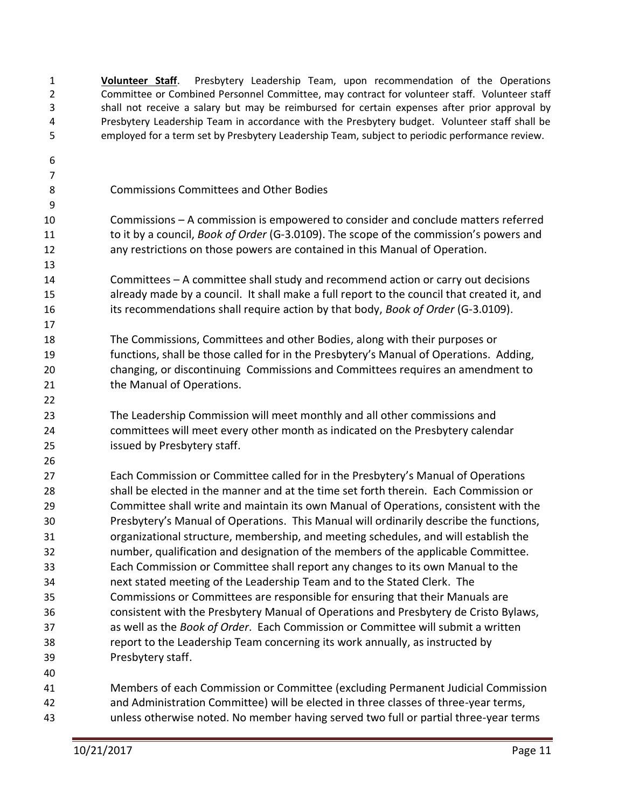**Volunteer Staff**. Presbytery Leadership Team, upon recommendation of the Operations Committee or Combined Personnel Committee, may contract for volunteer staff. Volunteer staff shall not receive a salary but may be reimbursed for certain expenses after prior approval by Presbytery Leadership Team in accordance with the Presbytery budget. Volunteer staff shall be employed for a term set by Presbytery Leadership Team, subject to periodic performance review. Commissions Committees and Other Bodies Commissions – A commission is empowered to consider and conclude matters referred to it by a council, *Book of Order* (G-3.0109). The scope of the commission's powers and any restrictions on those powers are contained in this Manual of Operation. Committees – A committee shall study and recommend action or carry out decisions already made by a council. It shall make a full report to the council that created it, and its recommendations shall require action by that body, *Book of Order* (G-3.0109). The Commissions, Committees and other Bodies, along with their purposes or functions, shall be those called for in the Presbytery's Manual of Operations. Adding, changing, or discontinuing Commissions and Committees requires an amendment to 21 the Manual of Operations. The Leadership Commission will meet monthly and all other commissions and committees will meet every other month as indicated on the Presbytery calendar issued by Presbytery staff. Each Commission or Committee called for in the Presbytery's Manual of Operations shall be elected in the manner and at the time set forth therein. Each Commission or Committee shall write and maintain its own Manual of Operations, consistent with the Presbytery's Manual of Operations. This Manual will ordinarily describe the functions, organizational structure, membership, and meeting schedules, and will establish the number, qualification and designation of the members of the applicable Committee. Each Commission or Committee shall report any changes to its own Manual to the next stated meeting of the Leadership Team and to the Stated Clerk. The Commissions or Committees are responsible for ensuring that their Manuals are consistent with the Presbytery Manual of Operations and Presbytery de Cristo Bylaws, as well as the *Book of Order*. Each Commission or Committee will submit a written report to the Leadership Team concerning its work annually, as instructed by Presbytery staff. Members of each Commission or Committee (excluding Permanent Judicial Commission and Administration Committee) will be elected in three classes of three-year terms, unless otherwise noted. No member having served two full or partial three-year terms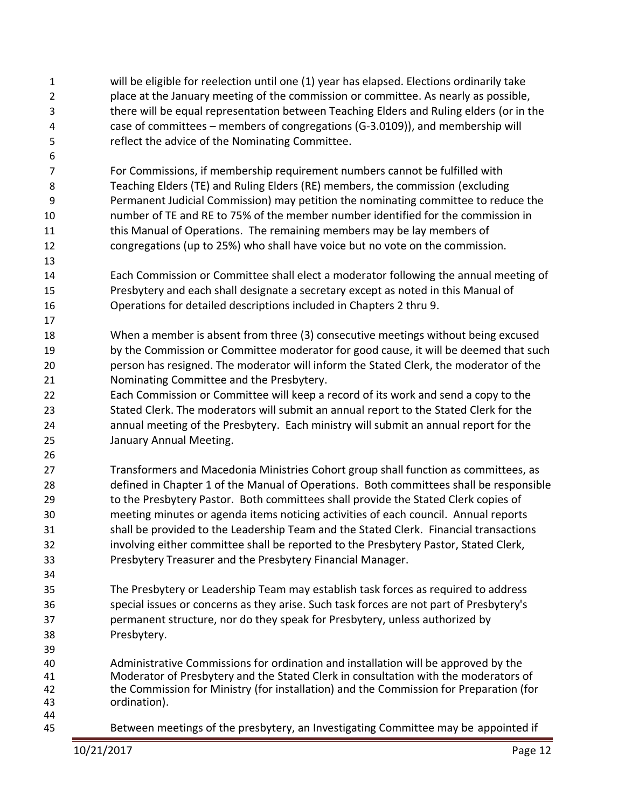will be eligible for reelection until one (1) year has elapsed. Elections ordinarily take place at the January meeting of the commission or committee. As nearly as possible, there will be equal representation between Teaching Elders and Ruling elders (or in the case of committees – members of congregations (G-3.0109)), and membership will reflect the advice of the Nominating Committee.

 For Commissions, if membership requirement numbers cannot be fulfilled with Teaching Elders (TE) and Ruling Elders (RE) members, the commission (excluding Permanent Judicial Commission) may petition the nominating committee to reduce the number of TE and RE to 75% of the member number identified for the commission in this Manual of Operations. The remaining members may be lay members of congregations (up to 25%) who shall have voice but no vote on the commission.

- Each Commission or Committee shall elect a moderator following the annual meeting of Presbytery and each shall designate a secretary except as noted in this Manual of Operations for detailed descriptions included in Chapters 2 thru 9.
- When a member is absent from three (3) consecutive meetings without being excused by the Commission or Committee moderator for good cause, it will be deemed that such person has resigned. The moderator will inform the Stated Clerk, the moderator of the Nominating Committee and the Presbytery.
- Each Commission or Committee will keep a record of its work and send a copy to the Stated Clerk. The moderators will submit an annual report to the Stated Clerk for the annual meeting of the Presbytery. Each ministry will submit an annual report for the January Annual Meeting.
- Transformers and Macedonia Ministries Cohort group shall function as committees, as defined in Chapter 1 of the Manual of Operations. Both committees shall be responsible to the Presbytery Pastor. Both committees shall provide the Stated Clerk copies of meeting minutes or agenda items noticing activities of each council. Annual reports shall be provided to the Leadership Team and the Stated Clerk. Financial transactions involving either committee shall be reported to the Presbytery Pastor, Stated Clerk, Presbytery Treasurer and the Presbytery Financial Manager.
- The Presbytery or Leadership Team may establish task forces as required to address special issues or concerns as they arise. Such task forces are not part of Presbytery's permanent structure, nor do they speak for Presbytery, unless authorized by Presbytery.
- Administrative Commissions for ordination and installation will be approved by the Moderator of Presbytery and the Stated Clerk in consultation with the moderators of the Commission for Ministry (for installation) and the Commission for Preparation (for ordination).
- 

Between meetings of the presbytery, an Investigating Committee may be appointed if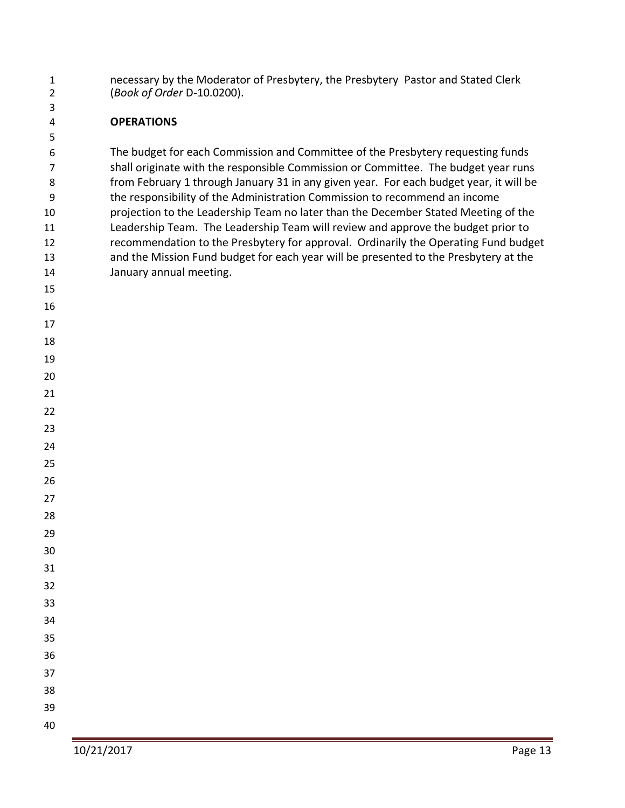necessary by the Moderator of Presbytery, the Presbytery Pastor and Stated Clerk (*Book of Order* D-10.0200).

#### **OPERATIONS**

 The budget for each Commission and Committee of the Presbytery requesting funds shall originate with the responsible Commission or Committee. The budget year runs from February 1 through January 31 in any given year. For each budget year, it will be the responsibility of the Administration Commission to recommend an income projection to the Leadership Team no later than the December Stated Meeting of the Leadership Team. The Leadership Team will review and approve the budget prior to recommendation to the Presbytery for approval. Ordinarily the Operating Fund budget and the Mission Fund budget for each year will be presented to the Presbytery at the January annual meeting.

 

- 
- 
- 
- 
- 
- 
- 
- 
- 
- 
- 
- 
- 
- 
- 
- 
- 
- 
- 
- 
- 
-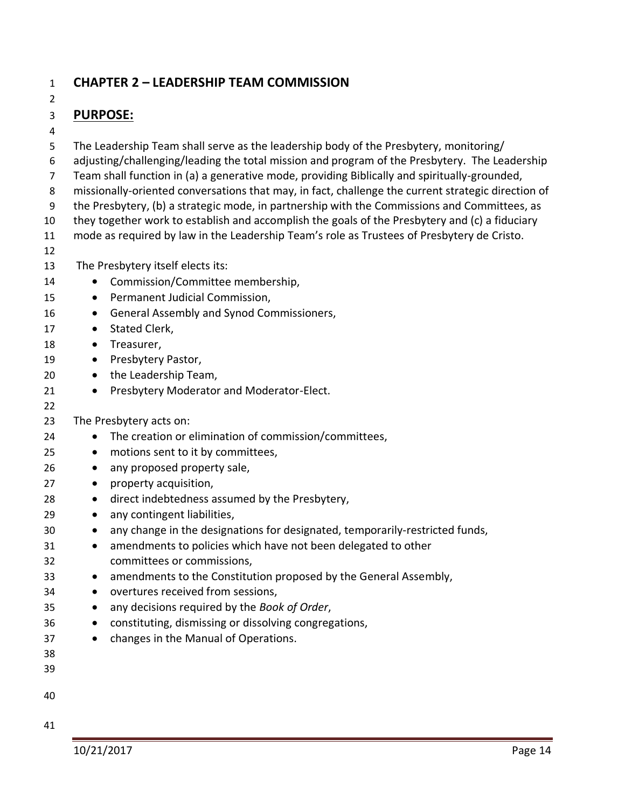## **CHAPTER 2 – LEADERSHIP TEAM COMMISSION**

## **PURPOSE:**

 The Leadership Team shall serve as the leadership body of the Presbytery, monitoring/ adjusting/challenging/leading the total mission and program of the Presbytery. The Leadership Team shall function in (a) a generative mode, providing Biblically and spiritually-grounded, missionally-oriented conversations that may, in fact, challenge the current strategic direction of the Presbytery, (b) a strategic mode, in partnership with the Commissions and Committees, as they together work to establish and accomplish the goals of the Presbytery and (c) a fiduciary mode as required by law in the Leadership Team's role as Trustees of Presbytery de Cristo. The Presbytery itself elects its: 14 • Commission/Committee membership, 15 • Permanent Judicial Commission, 16 • General Assembly and Synod Commissioners, 17 • Stated Clerk, 18 • Treasurer, 19 • Presbytery Pastor, 20 • the Leadership Team, 21 • Presbytery Moderator and Moderator-Elect. The Presbytery acts on: • The creation or elimination of commission/committees, • motions sent to it by committees, • any proposed property sale, • property acquisition, • direct indebtedness assumed by the Presbytery, • any contingent liabilities, • any change in the designations for designated, temporarily-restricted funds, • amendments to policies which have not been delegated to other committees or commissions, • amendments to the Constitution proposed by the General Assembly, • overtures received from sessions, • any decisions required by the *Book of Order*, • constituting, dismissing or dissolving congregations, • changes in the Manual of Operations.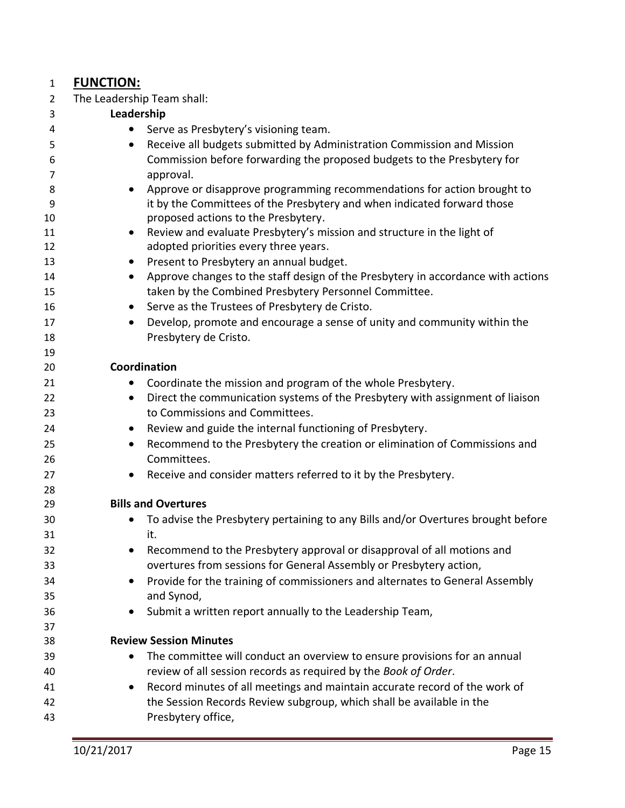#### **FUNCTION:**

The Leadership Team shall:

| Receive all budgets submitted by Administration Commission and Mission<br>Commission before forwarding the proposed budgets to the Presbytery for<br>Approve or disapprove programming recommendations for action brought to<br>it by the Committees of the Presbytery and when indicated forward those<br>Review and evaluate Presbytery's mission and structure in the light of<br>Approve changes to the staff design of the Presbytery in accordance with actions |
|-----------------------------------------------------------------------------------------------------------------------------------------------------------------------------------------------------------------------------------------------------------------------------------------------------------------------------------------------------------------------------------------------------------------------------------------------------------------------|
|                                                                                                                                                                                                                                                                                                                                                                                                                                                                       |
|                                                                                                                                                                                                                                                                                                                                                                                                                                                                       |
|                                                                                                                                                                                                                                                                                                                                                                                                                                                                       |
|                                                                                                                                                                                                                                                                                                                                                                                                                                                                       |
|                                                                                                                                                                                                                                                                                                                                                                                                                                                                       |
|                                                                                                                                                                                                                                                                                                                                                                                                                                                                       |
|                                                                                                                                                                                                                                                                                                                                                                                                                                                                       |
|                                                                                                                                                                                                                                                                                                                                                                                                                                                                       |
|                                                                                                                                                                                                                                                                                                                                                                                                                                                                       |
|                                                                                                                                                                                                                                                                                                                                                                                                                                                                       |
|                                                                                                                                                                                                                                                                                                                                                                                                                                                                       |
|                                                                                                                                                                                                                                                                                                                                                                                                                                                                       |
|                                                                                                                                                                                                                                                                                                                                                                                                                                                                       |
|                                                                                                                                                                                                                                                                                                                                                                                                                                                                       |
| Develop, promote and encourage a sense of unity and community within the                                                                                                                                                                                                                                                                                                                                                                                              |
|                                                                                                                                                                                                                                                                                                                                                                                                                                                                       |
|                                                                                                                                                                                                                                                                                                                                                                                                                                                                       |
|                                                                                                                                                                                                                                                                                                                                                                                                                                                                       |
| Direct the communication systems of the Presbytery with assignment of liaison                                                                                                                                                                                                                                                                                                                                                                                         |
|                                                                                                                                                                                                                                                                                                                                                                                                                                                                       |
|                                                                                                                                                                                                                                                                                                                                                                                                                                                                       |
| Recommend to the Presbytery the creation or elimination of Commissions and                                                                                                                                                                                                                                                                                                                                                                                            |
|                                                                                                                                                                                                                                                                                                                                                                                                                                                                       |
|                                                                                                                                                                                                                                                                                                                                                                                                                                                                       |
|                                                                                                                                                                                                                                                                                                                                                                                                                                                                       |
|                                                                                                                                                                                                                                                                                                                                                                                                                                                                       |
| To advise the Presbytery pertaining to any Bills and/or Overtures brought before                                                                                                                                                                                                                                                                                                                                                                                      |
|                                                                                                                                                                                                                                                                                                                                                                                                                                                                       |
| Recommend to the Presbytery approval or disapproval of all motions and                                                                                                                                                                                                                                                                                                                                                                                                |
| overtures from sessions for General Assembly or Presbytery action,                                                                                                                                                                                                                                                                                                                                                                                                    |
| Provide for the training of commissioners and alternates to General Assembly                                                                                                                                                                                                                                                                                                                                                                                          |
|                                                                                                                                                                                                                                                                                                                                                                                                                                                                       |
|                                                                                                                                                                                                                                                                                                                                                                                                                                                                       |
|                                                                                                                                                                                                                                                                                                                                                                                                                                                                       |
|                                                                                                                                                                                                                                                                                                                                                                                                                                                                       |
| The committee will conduct an overview to ensure provisions for an annual                                                                                                                                                                                                                                                                                                                                                                                             |
|                                                                                                                                                                                                                                                                                                                                                                                                                                                                       |
| Record minutes of all meetings and maintain accurate record of the work of                                                                                                                                                                                                                                                                                                                                                                                            |
| the Session Records Review subgroup, which shall be available in the                                                                                                                                                                                                                                                                                                                                                                                                  |
|                                                                                                                                                                                                                                                                                                                                                                                                                                                                       |
|                                                                                                                                                                                                                                                                                                                                                                                                                                                                       |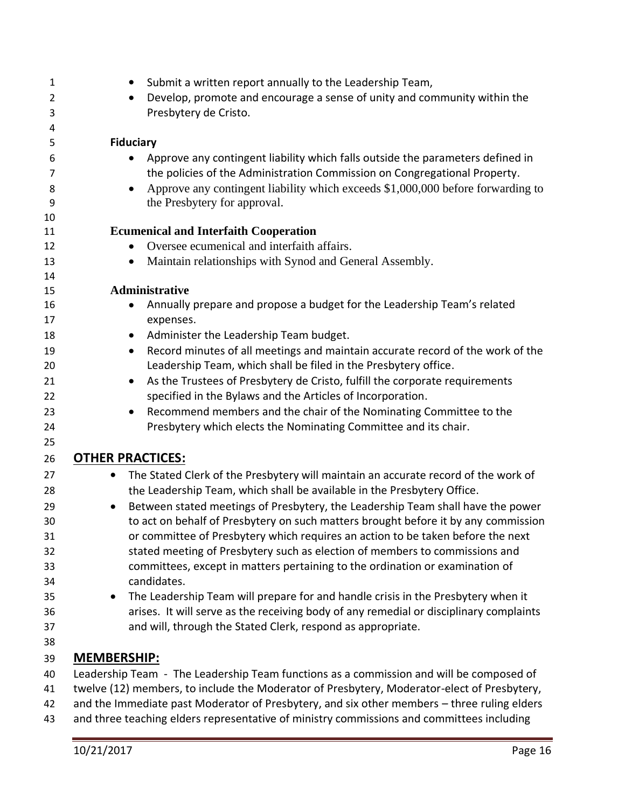| $\mathbf{1}$ | Submit a written report annually to the Leadership Team,                                                                                                              |
|--------------|-----------------------------------------------------------------------------------------------------------------------------------------------------------------------|
| 2            | Develop, promote and encourage a sense of unity and community within the                                                                                              |
| 3            | Presbytery de Cristo.                                                                                                                                                 |
| 4            |                                                                                                                                                                       |
| 5            | <b>Fiduciary</b>                                                                                                                                                      |
| 6            | Approve any contingent liability which falls outside the parameters defined in                                                                                        |
| 7            | the policies of the Administration Commission on Congregational Property.                                                                                             |
| 8            | Approve any contingent liability which exceeds \$1,000,000 before forwarding to                                                                                       |
| 9            | the Presbytery for approval.                                                                                                                                          |
| 10           |                                                                                                                                                                       |
| 11           | <b>Ecumenical and Interfaith Cooperation</b>                                                                                                                          |
| 12           | Oversee ecumenical and interfaith affairs.                                                                                                                            |
| 13           | Maintain relationships with Synod and General Assembly.<br>$\bullet$                                                                                                  |
| 14           |                                                                                                                                                                       |
| 15           | Administrative                                                                                                                                                        |
| 16           | Annually prepare and propose a budget for the Leadership Team's related<br>$\bullet$                                                                                  |
| 17           | expenses.                                                                                                                                                             |
| 18           | Administer the Leadership Team budget.<br>$\bullet$                                                                                                                   |
| 19<br>20     | Record minutes of all meetings and maintain accurate record of the work of the<br>$\bullet$                                                                           |
| 21           | Leadership Team, which shall be filed in the Presbytery office.                                                                                                       |
| 22           | As the Trustees of Presbytery de Cristo, fulfill the corporate requirements<br>$\bullet$<br>specified in the Bylaws and the Articles of Incorporation.                |
| 23           | Recommend members and the chair of the Nominating Committee to the                                                                                                    |
| 24           | Presbytery which elects the Nominating Committee and its chair.                                                                                                       |
| 25           |                                                                                                                                                                       |
| 26           | <b>OTHER PRACTICES:</b>                                                                                                                                               |
|              |                                                                                                                                                                       |
| 27           | The Stated Clerk of the Presbytery will maintain an accurate record of the work of<br>$\bullet$                                                                       |
| 28           | the Leadership Team, which shall be available in the Presbytery Office.                                                                                               |
| 29           | Between stated meetings of Presbytery, the Leadership Team shall have the power<br>$\bullet$                                                                          |
| 30           | to act on behalf of Presbytery on such matters brought before it by any commission<br>or committee of Presbytery which requires an action to be taken before the next |
| 31<br>32     | stated meeting of Presbytery such as election of members to commissions and                                                                                           |
| 33           | committees, except in matters pertaining to the ordination or examination of                                                                                          |
| 34           | candidates.                                                                                                                                                           |
| 35           | The Leadership Team will prepare for and handle crisis in the Presbytery when it                                                                                      |
| 36           | arises. It will serve as the receiving body of any remedial or disciplinary complaints                                                                                |
| 37           | and will, through the Stated Clerk, respond as appropriate.                                                                                                           |
| 38           |                                                                                                                                                                       |
| 39           | <b>MEMBERSHIP:</b>                                                                                                                                                    |
| 40           | Leadership Team - The Leadership Team functions as a commission and will be composed of                                                                               |
| 41           | twelve (12) members, to include the Moderator of Presbytery, Moderator-elect of Presbytery,                                                                           |
| 42           | and the Immediate past Moderator of Presbytery, and six other members - three ruling elders                                                                           |
| $\sqrt{2}$   | and three teaching elders representative of ministry commissions and committees including                                                                             |

and three teaching elders representative of ministry commissions and committees including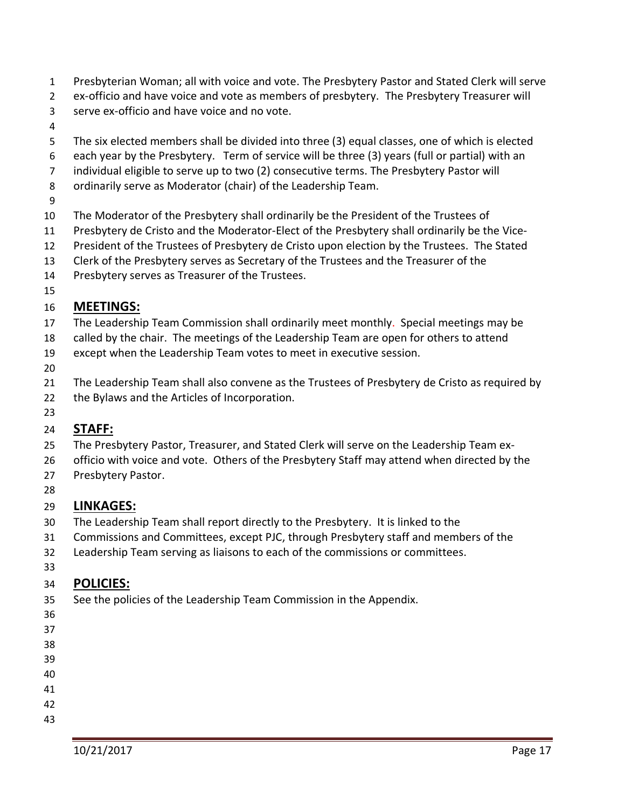- Presbyterian Woman; all with voice and vote. The Presbytery Pastor and Stated Clerk will serve
- ex-officio and have voice and vote as members of presbytery. The Presbytery Treasurer will
- serve ex-officio and have voice and no vote.
- 
- The six elected members shall be divided into three (3) equal classes, one of which is elected
- each year by the Presbytery. Term of service will be three (3) years (full or partial) with an
- individual eligible to serve up to two (2) consecutive terms. The Presbytery Pastor will
- ordinarily serve as Moderator (chair) of the Leadership Team.
- 
- The Moderator of the Presbytery shall ordinarily be the President of the Trustees of
- Presbytery de Cristo and the Moderator-Elect of the Presbytery shall ordinarily be the Vice-
- President of the Trustees of Presbytery de Cristo upon election by the Trustees. The Stated
- Clerk of the Presbytery serves as Secretary of the Trustees and the Treasurer of the
- Presbytery serves as Treasurer of the Trustees.
- 

## **MEETINGS:**

- The Leadership Team Commission shall ordinarily meet monthly. Special meetings may be
- called by the chair. The meetings of the Leadership Team are open for others to attend
- except when the Leadership Team votes to meet in executive session.
- 
- The Leadership Team shall also convene as the Trustees of Presbytery de Cristo as required by
- the Bylaws and the Articles of Incorporation.
- 

## **STAFF:**

- The Presbytery Pastor, Treasurer, and Stated Clerk will serve on the Leadership Team ex-
- 26 officio with voice and vote. Others of the Presbytery Staff may attend when directed by the Presbytery Pastor.
- 
- 

## **LINKAGES:**

- The Leadership Team shall report directly to the Presbytery. It is linked to the
- Commissions and Committees, except PJC, through Presbytery staff and members of the
- Leadership Team serving as liaisons to each of the commissions or committees.
- 

## **POLICIES:**

- See the policies of the Leadership Team Commission in the Appendix.
- 
- 
- 
- 
- 
- 
- 
-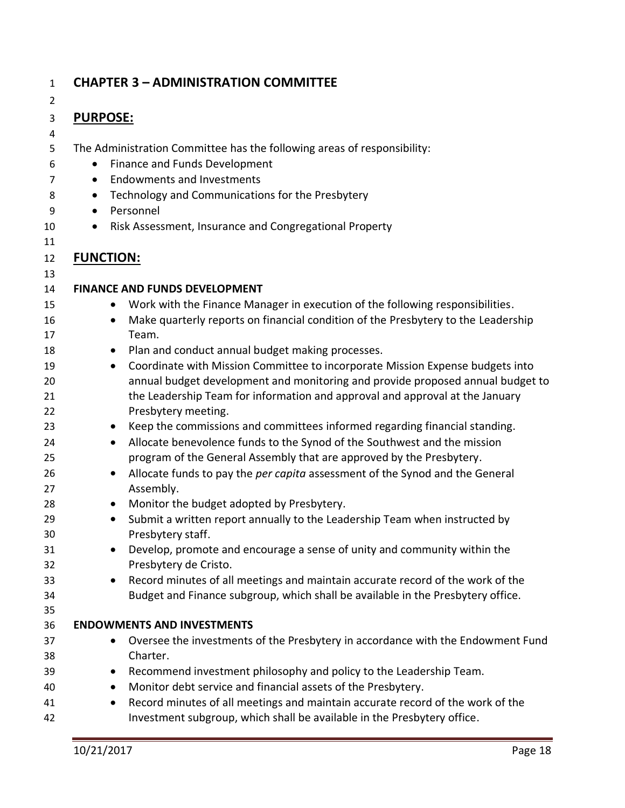| $\overline{2}$ |                                                                                                                                    |
|----------------|------------------------------------------------------------------------------------------------------------------------------------|
| 3              | <b>PURPOSE:</b>                                                                                                                    |
| 4              |                                                                                                                                    |
| 5              | The Administration Committee has the following areas of responsibility:                                                            |
| 6              | Finance and Funds Development                                                                                                      |
| 7              | <b>Endowments and Investments</b><br>$\bullet$                                                                                     |
| 8              | Technology and Communications for the Presbytery<br>$\bullet$                                                                      |
| 9              | Personnel<br>$\bullet$                                                                                                             |
| 10             | Risk Assessment, Insurance and Congregational Property<br>$\bullet$                                                                |
| 11             |                                                                                                                                    |
| 12             | <b>FUNCTION:</b>                                                                                                                   |
| 13             |                                                                                                                                    |
| 14             | <b>FINANCE AND FUNDS DEVELOPMENT</b>                                                                                               |
| 15             | Work with the Finance Manager in execution of the following responsibilities.<br>$\bullet$                                         |
| 16             | Make quarterly reports on financial condition of the Presbytery to the Leadership<br>$\bullet$                                     |
| 17             | Team.                                                                                                                              |
| 18             | Plan and conduct annual budget making processes.<br>$\bullet$                                                                      |
| 19             | Coordinate with Mission Committee to incorporate Mission Expense budgets into<br>$\bullet$                                         |
| 20             | annual budget development and monitoring and provide proposed annual budget to                                                     |
| 21             | the Leadership Team for information and approval and approval at the January                                                       |
| 22             | Presbytery meeting.                                                                                                                |
| 23             | Keep the commissions and committees informed regarding financial standing.<br>$\bullet$                                            |
| 24             | Allocate benevolence funds to the Synod of the Southwest and the mission<br>$\bullet$                                              |
| 25             | program of the General Assembly that are approved by the Presbytery.                                                               |
| 26             | Allocate funds to pay the per capita assessment of the Synod and the General<br>$\bullet$                                          |
| 27             | Assembly.                                                                                                                          |
| 28             | Monitor the budget adopted by Presbytery.<br>$\bullet$                                                                             |
| 29             | Submit a written report annually to the Leadership Team when instructed by<br>$\bullet$                                            |
| 30             | Presbytery staff.                                                                                                                  |
| 31             | Develop, promote and encourage a sense of unity and community within the                                                           |
| 32             | Presbytery de Cristo.                                                                                                              |
| 33             | Record minutes of all meetings and maintain accurate record of the work of the<br>$\bullet$                                        |
| 34             | Budget and Finance subgroup, which shall be available in the Presbytery office.                                                    |
| 35             |                                                                                                                                    |
| 36             | <b>ENDOWMENTS AND INVESTMENTS</b>                                                                                                  |
| 37             | Oversee the investments of the Presbytery in accordance with the Endowment Fund<br>Charter.                                        |
| 38             |                                                                                                                                    |
| 39             | Recommend investment philosophy and policy to the Leadership Team.<br>Monitor debt service and financial assets of the Presbytery. |
| 40             |                                                                                                                                    |
| 41             | Record minutes of all meetings and maintain accurate record of the work of the<br>$\bullet$                                        |

**CHAPTER 3 – ADMINISTRATION COMMITTEE**

Investment subgroup, which shall be available in the Presbytery office.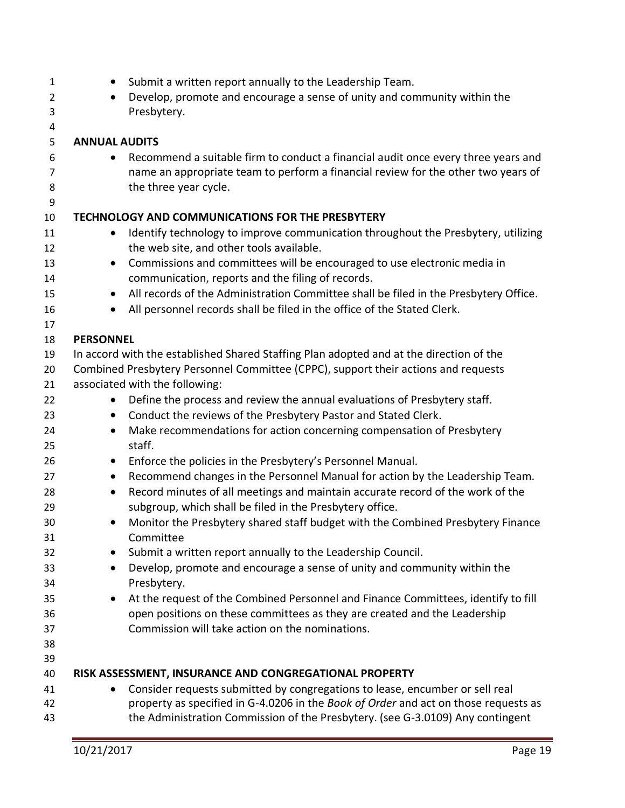| 1<br>$\overline{2}$ | $\bullet$<br>$\bullet$ | Submit a written report annually to the Leadership Team.<br>Develop, promote and encourage a sense of unity and community within the       |
|---------------------|------------------------|--------------------------------------------------------------------------------------------------------------------------------------------|
| 3<br>4              |                        | Presbytery.                                                                                                                                |
| 5                   | <b>ANNUAL AUDITS</b>   |                                                                                                                                            |
| 6                   | $\bullet$              | Recommend a suitable firm to conduct a financial audit once every three years and                                                          |
| 7                   |                        | name an appropriate team to perform a financial review for the other two years of                                                          |
| 8                   |                        | the three year cycle.                                                                                                                      |
| 9                   |                        |                                                                                                                                            |
| 10                  |                        | TECHNOLOGY AND COMMUNICATIONS FOR THE PRESBYTERY                                                                                           |
| 11                  | $\bullet$              | Identify technology to improve communication throughout the Presbytery, utilizing                                                          |
| 12                  |                        | the web site, and other tools available.                                                                                                   |
| 13                  | $\bullet$              | Commissions and committees will be encouraged to use electronic media in                                                                   |
| 14                  |                        | communication, reports and the filing of records.                                                                                          |
| 15                  | $\bullet$              | All records of the Administration Committee shall be filed in the Presbytery Office.                                                       |
| 16                  | $\bullet$              | All personnel records shall be filed in the office of the Stated Clerk.                                                                    |
| 17                  |                        |                                                                                                                                            |
| 18                  | <b>PERSONNEL</b>       |                                                                                                                                            |
| 19                  |                        | In accord with the established Shared Staffing Plan adopted and at the direction of the                                                    |
| 20                  |                        | Combined Presbytery Personnel Committee (CPPC), support their actions and requests                                                         |
| 21                  |                        | associated with the following:                                                                                                             |
| 22                  | $\bullet$              | Define the process and review the annual evaluations of Presbytery staff.                                                                  |
| 23                  | $\bullet$              | Conduct the reviews of the Presbytery Pastor and Stated Clerk.                                                                             |
| 24                  | $\bullet$              | Make recommendations for action concerning compensation of Presbytery                                                                      |
| 25                  |                        | staff.                                                                                                                                     |
| 26                  | $\bullet$              | Enforce the policies in the Presbytery's Personnel Manual.<br>Recommend changes in the Personnel Manual for action by the Leadership Team. |
| 27<br>28            | $\bullet$              | Record minutes of all meetings and maintain accurate record of the work of the                                                             |
| 29                  | $\bullet$              | subgroup, which shall be filed in the Presbytery office.                                                                                   |
| 30                  | $\bullet$              | Monitor the Presbytery shared staff budget with the Combined Presbytery Finance                                                            |
| 31                  |                        | Committee                                                                                                                                  |
| 32                  |                        | Submit a written report annually to the Leadership Council.                                                                                |
| 33                  | $\bullet$              | Develop, promote and encourage a sense of unity and community within the                                                                   |
| 34                  |                        | Presbytery.                                                                                                                                |
| 35                  | $\bullet$              | At the request of the Combined Personnel and Finance Committees, identify to fill                                                          |
| 36                  |                        | open positions on these committees as they are created and the Leadership                                                                  |
| 37                  |                        | Commission will take action on the nominations.                                                                                            |
| 38                  |                        |                                                                                                                                            |
| 39                  |                        |                                                                                                                                            |
| 40                  |                        | RISK ASSESSMENT, INSURANCE AND CONGREGATIONAL PROPERTY                                                                                     |
| 41                  | $\bullet$              | Consider requests submitted by congregations to lease, encumber or sell real                                                               |
| 42                  |                        | property as specified in G-4.0206 in the Book of Order and act on those requests as                                                        |
| 43                  |                        | the Administration Commission of the Presbytery. (see G-3.0109) Any contingent                                                             |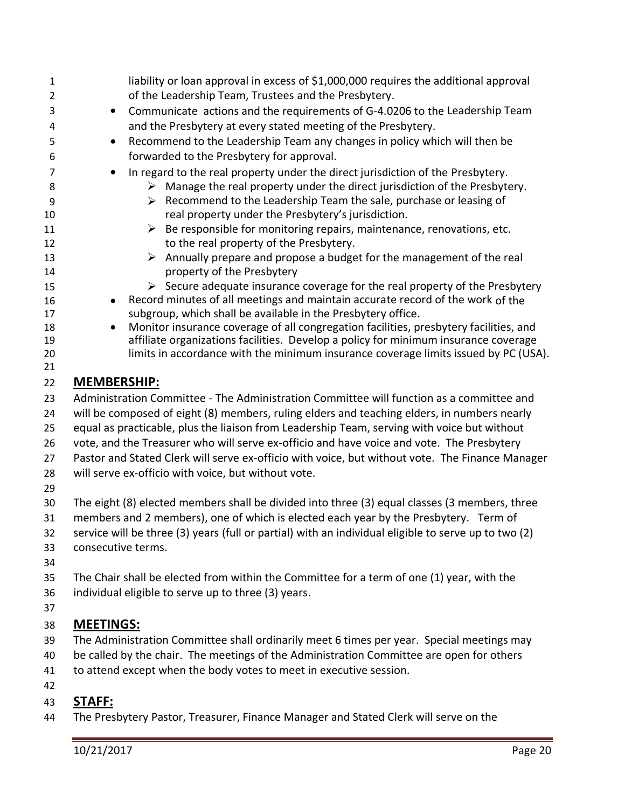| $\mathbf{1}$   |                                                                                                 | liability or loan approval in excess of \$1,000,000 requires the additional approval                                                           |  |
|----------------|-------------------------------------------------------------------------------------------------|------------------------------------------------------------------------------------------------------------------------------------------------|--|
| $\overline{2}$ |                                                                                                 | of the Leadership Team, Trustees and the Presbytery.                                                                                           |  |
| 3              | $\bullet$                                                                                       | Communicate actions and the requirements of G-4.0206 to the Leadership Team                                                                    |  |
| 4              |                                                                                                 | and the Presbytery at every stated meeting of the Presbytery.                                                                                  |  |
| 5              | $\bullet$                                                                                       | Recommend to the Leadership Team any changes in policy which will then be                                                                      |  |
| 6              |                                                                                                 | forwarded to the Presbytery for approval.                                                                                                      |  |
| $\overline{7}$ | $\bullet$                                                                                       | In regard to the real property under the direct jurisdiction of the Presbytery.                                                                |  |
| 8              |                                                                                                 | Manage the real property under the direct jurisdiction of the Presbytery.<br>➤                                                                 |  |
| 9              |                                                                                                 | Recommend to the Leadership Team the sale, purchase or leasing of<br>➤                                                                         |  |
| 10             |                                                                                                 | real property under the Presbytery's jurisdiction.                                                                                             |  |
| 11             |                                                                                                 | Be responsible for monitoring repairs, maintenance, renovations, etc.<br>➤                                                                     |  |
| 12             |                                                                                                 | to the real property of the Presbytery.                                                                                                        |  |
| 13             |                                                                                                 | $\triangleright$ Annually prepare and propose a budget for the management of the real                                                          |  |
| 14             |                                                                                                 | property of the Presbytery                                                                                                                     |  |
| 15             |                                                                                                 | $\triangleright$ Secure adequate insurance coverage for the real property of the Presbytery                                                    |  |
| 16             | $\bullet$                                                                                       | Record minutes of all meetings and maintain accurate record of the work of the<br>subgroup, which shall be available in the Presbytery office. |  |
| 17<br>18       | $\bullet$                                                                                       | Monitor insurance coverage of all congregation facilities, presbytery facilities, and                                                          |  |
| 19             |                                                                                                 | affiliate organizations facilities. Develop a policy for minimum insurance coverage                                                            |  |
| 20             |                                                                                                 | limits in accordance with the minimum insurance coverage limits issued by PC (USA).                                                            |  |
| 21             |                                                                                                 |                                                                                                                                                |  |
| 22             | <b>MEMBERSHIP:</b>                                                                              |                                                                                                                                                |  |
| 23             |                                                                                                 | Administration Committee - The Administration Committee will function as a committee and                                                       |  |
| 24             |                                                                                                 | will be composed of eight (8) members, ruling elders and teaching elders, in numbers nearly                                                    |  |
| 25             |                                                                                                 | equal as practicable, plus the liaison from Leadership Team, serving with voice but without                                                    |  |
| 26             |                                                                                                 | vote, and the Treasurer who will serve ex-officio and have voice and vote. The Presbytery                                                      |  |
| 27             | Pastor and Stated Clerk will serve ex-officio with voice, but without vote. The Finance Manager |                                                                                                                                                |  |
| 28             |                                                                                                 | will serve ex-officio with voice, but without vote.                                                                                            |  |
| 29             |                                                                                                 |                                                                                                                                                |  |
| 30             |                                                                                                 | The eight (8) elected members shall be divided into three (3) equal classes (3 members, three                                                  |  |
| 31             |                                                                                                 | members and 2 members), one of which is elected each year by the Presbytery. Term of                                                           |  |
| 32             |                                                                                                 | service will be three (3) years (full or partial) with an individual eligible to serve up to two (2)                                           |  |
| 33             | consecutive terms.                                                                              |                                                                                                                                                |  |
| 34             |                                                                                                 |                                                                                                                                                |  |
| 35             |                                                                                                 | The Chair shall be elected from within the Committee for a term of one (1) year, with the                                                      |  |
| 36             |                                                                                                 | individual eligible to serve up to three (3) years.                                                                                            |  |
| 37             |                                                                                                 |                                                                                                                                                |  |
| 38             | <b>MEETINGS:</b>                                                                                |                                                                                                                                                |  |
| 39             |                                                                                                 | The Administration Committee shall ordinarily meet 6 times per year. Special meetings may                                                      |  |
| 40             |                                                                                                 | be called by the chair. The meetings of the Administration Committee are open for others                                                       |  |
| 41             |                                                                                                 | to attend except when the body votes to meet in executive session.                                                                             |  |
| 42             |                                                                                                 |                                                                                                                                                |  |
| 43             | <b>STAFF:</b>                                                                                   |                                                                                                                                                |  |
| 44             |                                                                                                 | The Presbytery Pastor, Treasurer, Finance Manager and Stated Clerk will serve on the                                                           |  |
|                |                                                                                                 |                                                                                                                                                |  |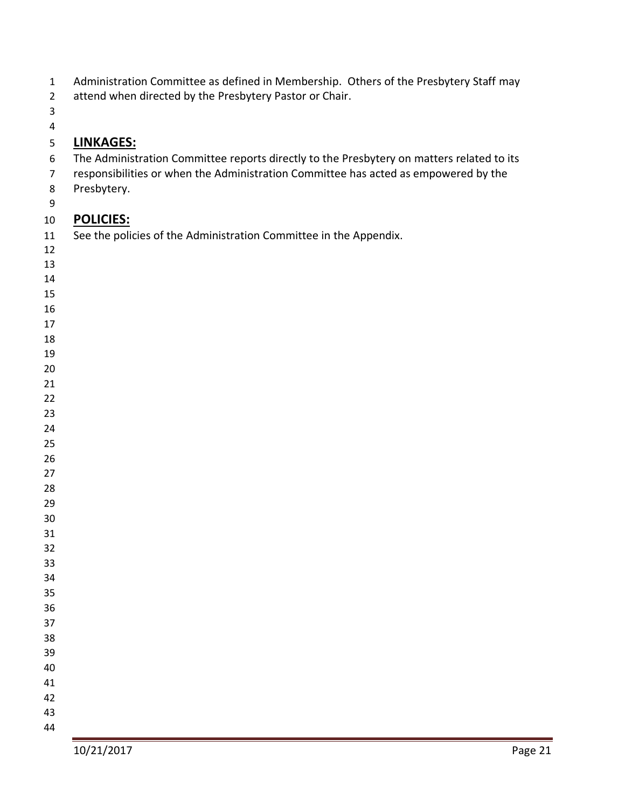| Administration Committee as defined in Membership. Others of the Presbytery Staff may |  |  |  |  |
|---------------------------------------------------------------------------------------|--|--|--|--|
|---------------------------------------------------------------------------------------|--|--|--|--|

- attend when directed by the Presbytery Pastor or Chair.
- 
- 

## **LINKAGES:**

- The Administration Committee reports directly to the Presbytery on matters related to its
- responsibilities or when the Administration Committee has acted as empowered by the
- Presbytery.
- 

## **POLICIES:**

- See the policies of the Administration Committee in the Appendix.
- 
- 
- 
- 
- 
- 
- 
- 
- 
- 
- 
- 
- 
- 
- 
- 
- 
- 
- 
- 
- 
- 
- 
- 
- 
- 
- 
- 
-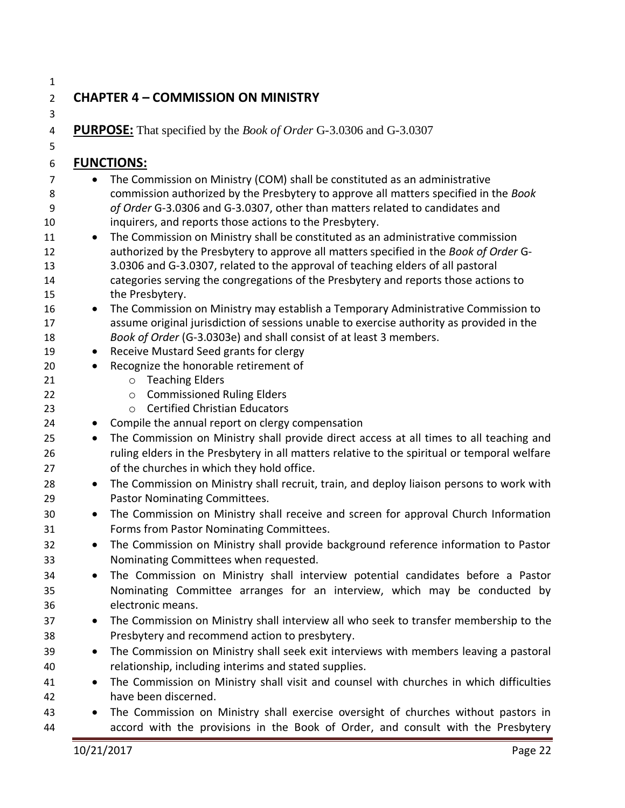## **CHAPTER 4 – COMMISSION ON MINISTRY**

**PURPOSE:** That specified by the *Book of Order* G-3.0306 and G-3.0307

## **FUNCTIONS:**

- 7 The Commission on Ministry (COM) shall be constituted as an administrative commission authorized by the Presbytery to approve all matters specified in the *Book of Order* G-3.0306 and G-3.0307, other than matters related to candidates and inquirers, and reports those actions to the Presbytery.
- 11 The Commission on Ministry shall be constituted as an administrative commission authorized by the Presbytery to approve all matters specified in the *Book of Order* G- 3.0306 and G-3.0307, related to the approval of teaching elders of all pastoral categories serving the congregations of the Presbytery and reports those actions to the Presbytery.
- 16 The Commission on Ministry may establish a Temporary Administrative Commission to assume original jurisdiction of sessions unable to exercise authority as provided in the *Book of Order* (G-3.0303e) and shall consist of at least 3 members.
- 19 Receive Mustard Seed grants for clergy
- Recognize the honorable retirement of
- o Teaching Elders
- **Commissioned Ruling Elders**
- o Certified Christian Educators
- Compile the annual report on clergy compensation
- 25 The Commission on Ministry shall provide direct access at all times to all teaching and ruling elders in the Presbytery in all matters relative to the spiritual or temporal welfare of the churches in which they hold office.
- The Commission on Ministry shall recruit, train, and deploy liaison persons to work with Pastor Nominating Committees.
- The Commission on Ministry shall receive and screen for approval Church Information Forms from Pastor Nominating Committees.
- The Commission on Ministry shall provide background reference information to Pastor Nominating Committees when requested.
- The Commission on Ministry shall interview potential candidates before a Pastor Nominating Committee arranges for an interview, which may be conducted by electronic means.
- The Commission on Ministry shall interview all who seek to transfer membership to the Presbytery and recommend action to presbytery.
- The Commission on Ministry shall seek exit interviews with members leaving a pastoral relationship, including interims and stated supplies.
- The Commission on Ministry shall visit and counsel with churches in which difficulties have been discerned.
- The Commission on Ministry shall exercise oversight of churches without pastors in accord with the provisions in the Book of Order, and consult with the Presbytery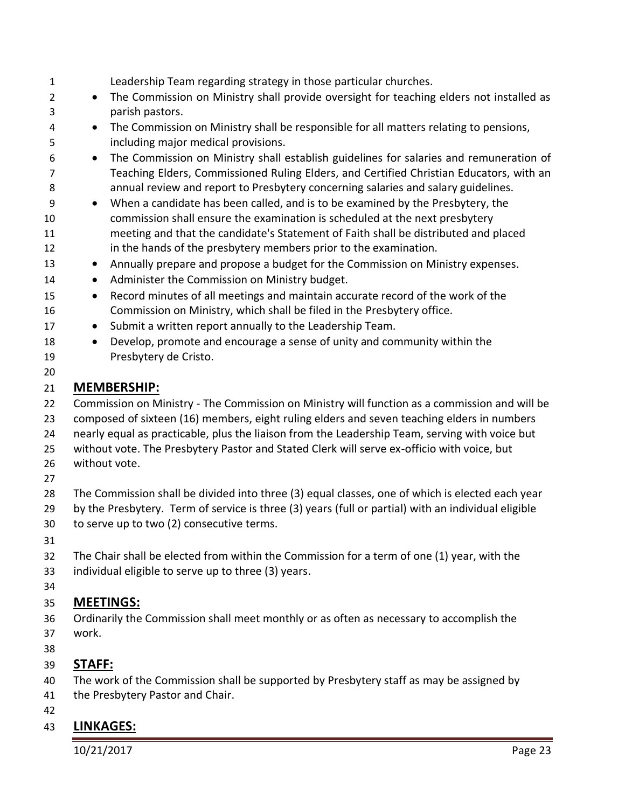| $\mathbf{1}$   | Leadership Team regarding strategy in those particular churches.                                                                                  |
|----------------|---------------------------------------------------------------------------------------------------------------------------------------------------|
| $\overline{2}$ | The Commission on Ministry shall provide oversight for teaching elders not installed as<br>$\bullet$                                              |
| 3              | parish pastors.                                                                                                                                   |
| 4              | The Commission on Ministry shall be responsible for all matters relating to pensions,<br>$\bullet$                                                |
| 5              | including major medical provisions.                                                                                                               |
| 6              | The Commission on Ministry shall establish guidelines for salaries and remuneration of<br>$\bullet$                                               |
| 7              | Teaching Elders, Commissioned Ruling Elders, and Certified Christian Educators, with an                                                           |
| 8              | annual review and report to Presbytery concerning salaries and salary guidelines.                                                                 |
| 9              | When a candidate has been called, and is to be examined by the Presbytery, the<br>$\bullet$                                                       |
| 10             | commission shall ensure the examination is scheduled at the next presbytery                                                                       |
| 11             | meeting and that the candidate's Statement of Faith shall be distributed and placed                                                               |
| 12             | in the hands of the presbytery members prior to the examination.                                                                                  |
| 13             | Annually prepare and propose a budget for the Commission on Ministry expenses.<br>$\bullet$                                                       |
| 14             | Administer the Commission on Ministry budget.<br>$\bullet$                                                                                        |
| 15             | Record minutes of all meetings and maintain accurate record of the work of the<br>$\bullet$                                                       |
| 16             | Commission on Ministry, which shall be filed in the Presbytery office.                                                                            |
| 17             | Submit a written report annually to the Leadership Team.<br>$\bullet$<br>Develop, promote and encourage a sense of unity and community within the |
| 18<br>19       | $\bullet$<br>Presbytery de Cristo.                                                                                                                |
| 20             |                                                                                                                                                   |
| 21             | <b>MEMBERSHIP:</b>                                                                                                                                |
| 22             | Commission on Ministry - The Commission on Ministry will function as a commission and will be                                                     |
| 23             | composed of sixteen (16) members, eight ruling elders and seven teaching elders in numbers                                                        |
| 24             | nearly equal as practicable, plus the liaison from the Leadership Team, serving with voice but                                                    |
| 25             | without vote. The Presbytery Pastor and Stated Clerk will serve ex-officio with voice, but                                                        |
| 26             | without vote.                                                                                                                                     |
| 27             |                                                                                                                                                   |
| 28             | The Commission shall be divided into three (3) equal classes, one of which is elected each year                                                   |
| 29             | by the Presbytery. Term of service is three (3) years (full or partial) with an individual eligible                                               |
| 30             | to serve up to two (2) consecutive terms.                                                                                                         |
| 31             |                                                                                                                                                   |
| 32             | The Chair shall be elected from within the Commission for a term of one (1) year, with the                                                        |
| 33             | individual eligible to serve up to three (3) years.                                                                                               |
| 34             |                                                                                                                                                   |
| 35             | <b>MEETINGS:</b>                                                                                                                                  |
| 36             | Ordinarily the Commission shall meet monthly or as often as necessary to accomplish the                                                           |
| 37             | work.                                                                                                                                             |
| 38             |                                                                                                                                                   |

- **STAFF:**
- The work of the Commission shall be supported by Presbytery staff as may be assigned by
- the Presbytery Pastor and Chair.
- 

## **LINKAGES:**

10/21/2017 Page 23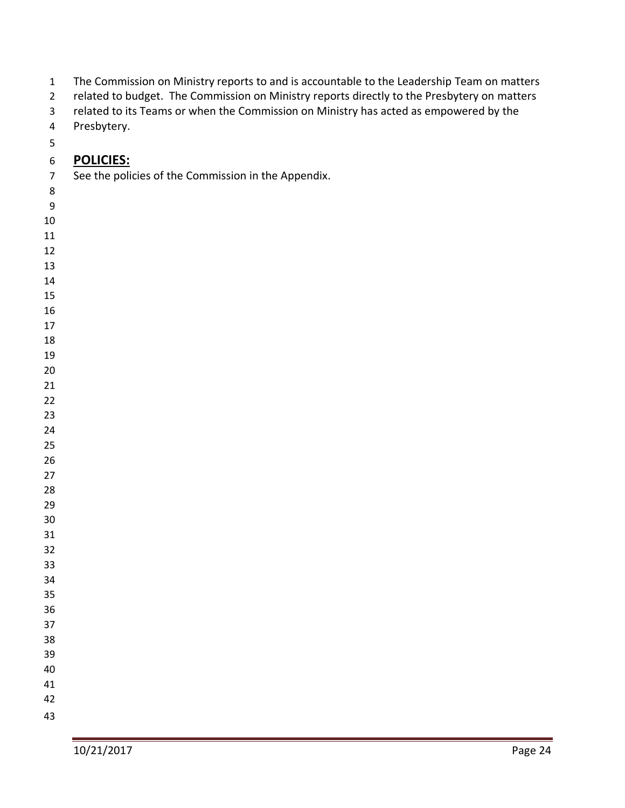- The Commission on Ministry reports to and is accountable to the Leadership Team on matters
- 2 related to budget. The Commission on Ministry reports directly to the Presbytery on matters
- related to its Teams or when the Commission on Ministry has acted as empowered by the
- Presbytery.
- 

### **POLICIES:**

- See the policies of the Commission in the Appendix.
- 
- 
- 
- 
- -
- 
- 
- 
- 
- 
- 
- 
- 
- 
- 
- 
- 
- 
- 
- 
- 
- 
- 
- 
- 
- 
- 
- 
- 
- 
-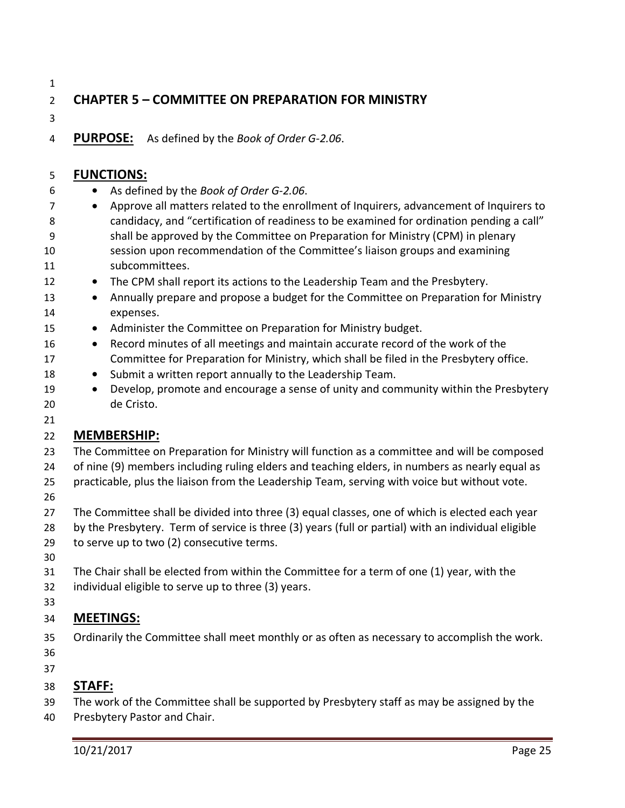## **CHAPTER 5 – COMMITTEE ON PREPARATION FOR MINISTRY**

**PURPOSE:** As defined by the *Book of Order G-2.06*.

#### **FUNCTIONS:**

- As defined by the *Book of Order G-2.06*.
- Approve all matters related to the enrollment of Inquirers, advancement of Inquirers to candidacy, and "certification of readiness to be examined for ordination pending a call" shall be approved by the Committee on Preparation for Ministry (CPM) in plenary session upon recommendation of the Committee's liaison groups and examining subcommittees.
- The CPM shall report its actions to the Leadership Team and the Presbytery.
- 13 Annually prepare and propose a budget for the Committee on Preparation for Ministry expenses.
- 15 Administer the Committee on Preparation for Ministry budget.
- Record minutes of all meetings and maintain accurate record of the work of the Committee for Preparation for Ministry, which shall be filed in the Presbytery office.
- Submit a written report annually to the Leadership Team.
- Develop, promote and encourage a sense of unity and community within the Presbytery de Cristo.

#### **MEMBERSHIP:**

- The Committee on Preparation for Ministry will function as a committee and will be composed of nine (9) members including ruling elders and teaching elders, in numbers as nearly equal as
- practicable, plus the liaison from the Leadership Team, serving with voice but without vote.
- 

- The Committee shall be divided into three (3) equal classes, one of which is elected each year
- by the Presbytery. Term of service is three (3) years (full or partial) with an individual eligible
- to serve up to two (2) consecutive terms.
- 
- The Chair shall be elected from within the Committee for a term of one (1) year, with the individual eligible to serve up to three (3) years.
- 

### **MEETINGS:**

- Ordinarily the Committee shall meet monthly or as often as necessary to accomplish the work.
- 

### **STAFF:**

- The work of the Committee shall be supported by Presbytery staff as may be assigned by the
- Presbytery Pastor and Chair.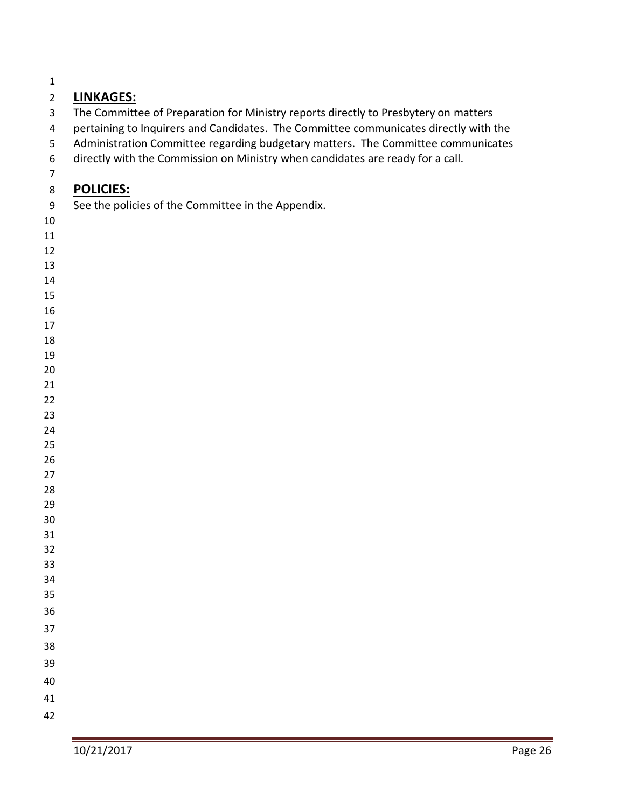## **LINKAGES:**

- The Committee of Preparation for Ministry reports directly to Presbytery on matters
- pertaining to Inquirers and Candidates. The Committee communicates directly with the
- Administration Committee regarding budgetary matters. The Committee communicates
- directly with the Commission on Ministry when candidates are ready for a call.
- 

## **POLICIES:**

- See the policies of the Committee in the Appendix.
- 
- 
- 
- 
- 
- 
- 
- 
- 
- 
- 
- 
- 
- 
- 
- 
- 
- 
- 
- 
- 
- 
- 
- 
- 
- 
- 
- 
- 
-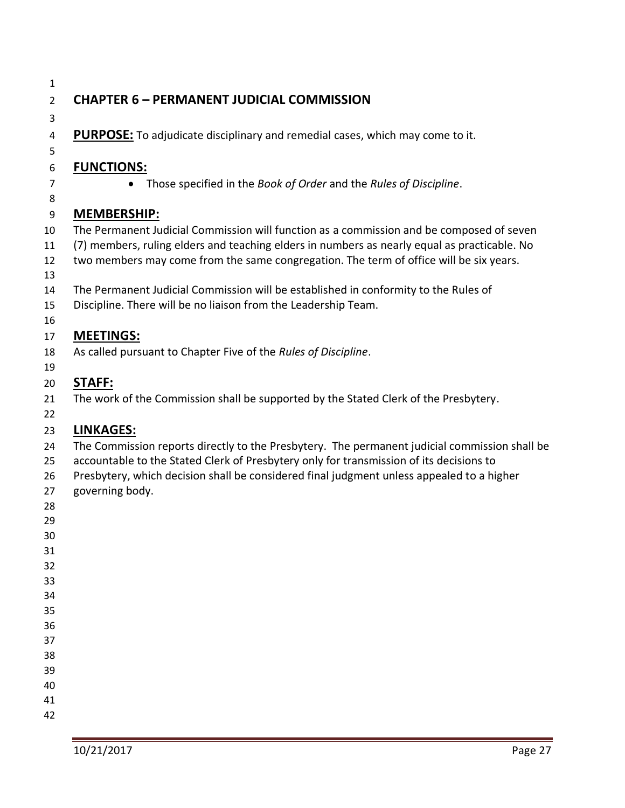## **CHAPTER 6 – PERMANENT JUDICIAL COMMISSION**

**PURPOSE:** To adjudicate disciplinary and remedial cases, which may come to it.

#### **FUNCTIONS:**

• Those specified in the *Book of Order* and the *Rules of Discipline*.

#### **MEMBERSHIP:**

- The Permanent Judicial Commission will function as a commission and be composed of seven
- (7) members, ruling elders and teaching elders in numbers as nearly equal as practicable. No
- two members may come from the same congregation. The term of office will be six years.
- 
- The Permanent Judicial Commission will be established in conformity to the Rules of
- Discipline. There will be no liaison from the Leadership Team.
- 

### **MEETINGS:**

As called pursuant to Chapter Five of the *Rules of Discipline*.

## **STAFF:**

- The work of the Commission shall be supported by the Stated Clerk of the Presbytery.
- 

#### **LINKAGES:**

- The Commission reports directly to the Presbytery. The permanent judicial commission shall be
- accountable to the Stated Clerk of Presbytery only for transmission of its decisions to
- Presbytery, which decision shall be considered final judgment unless appealed to a higher
- governing body.
- 
- 
- 
- 
- 
- 
- 
- 
- 
- 
- 
- 
-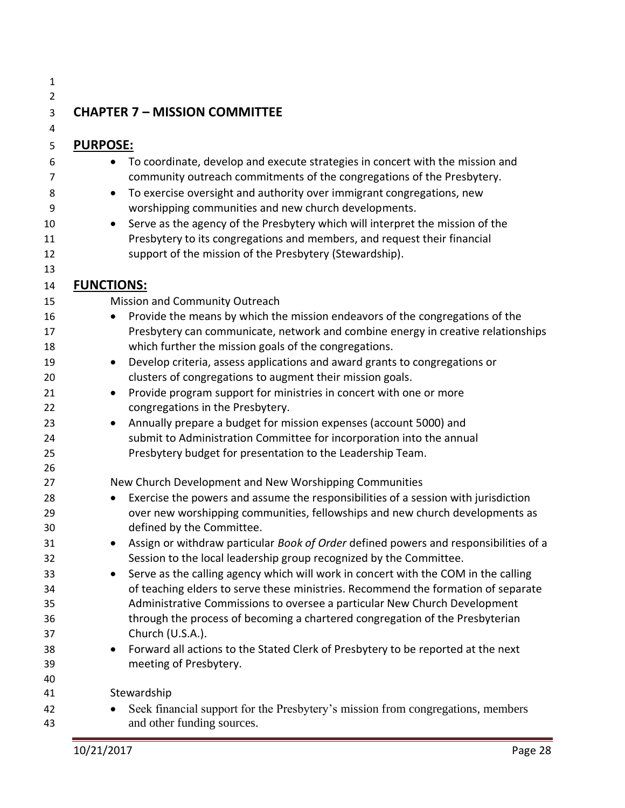| 1              |                   |                                                                                                                                                            |
|----------------|-------------------|------------------------------------------------------------------------------------------------------------------------------------------------------------|
| $\overline{2}$ |                   |                                                                                                                                                            |
| 3              |                   | <b>CHAPTER 7 - MISSION COMMITTEE</b>                                                                                                                       |
| 4              |                   |                                                                                                                                                            |
| 5              | <b>PURPOSE:</b>   |                                                                                                                                                            |
| 6              | $\bullet$         | To coordinate, develop and execute strategies in concert with the mission and                                                                              |
| 7              |                   | community outreach commitments of the congregations of the Presbytery.                                                                                     |
| 8              | $\bullet$         | To exercise oversight and authority over immigrant congregations, new                                                                                      |
| 9              |                   | worshipping communities and new church developments.                                                                                                       |
| 10             | $\bullet$         | Serve as the agency of the Presbytery which will interpret the mission of the                                                                              |
| 11             |                   | Presbytery to its congregations and members, and request their financial                                                                                   |
| 12             |                   | support of the mission of the Presbytery (Stewardship).                                                                                                    |
| 13             |                   |                                                                                                                                                            |
| 14             | <b>FUNCTIONS:</b> |                                                                                                                                                            |
| 15             |                   | Mission and Community Outreach                                                                                                                             |
| 16             |                   | Provide the means by which the mission endeavors of the congregations of the                                                                               |
| 17             |                   | Presbytery can communicate, network and combine energy in creative relationships                                                                           |
| 18             |                   | which further the mission goals of the congregations.                                                                                                      |
| 19             | $\bullet$         | Develop criteria, assess applications and award grants to congregations or                                                                                 |
| 20             |                   | clusters of congregations to augment their mission goals.                                                                                                  |
| 21             | $\bullet$         | Provide program support for ministries in concert with one or more                                                                                         |
| 22             |                   | congregations in the Presbytery.                                                                                                                           |
| 23             | $\bullet$         | Annually prepare a budget for mission expenses (account 5000) and                                                                                          |
| 24             |                   | submit to Administration Committee for incorporation into the annual                                                                                       |
| 25             |                   | Presbytery budget for presentation to the Leadership Team.                                                                                                 |
| 26             |                   |                                                                                                                                                            |
| 27             |                   | New Church Development and New Worshipping Communities                                                                                                     |
| 28             | $\bullet$         | Exercise the powers and assume the responsibilities of a session with jurisdiction                                                                         |
| 29             |                   | over new worshipping communities, fellowships and new church developments as                                                                               |
| 30             |                   | defined by the Committee.                                                                                                                                  |
| 31<br>32       |                   | Assign or withdraw particular Book of Order defined powers and responsibilities of a<br>Session to the local leadership group recognized by the Committee. |
| 33             |                   | Serve as the calling agency which will work in concert with the COM in the calling                                                                         |
| 34             |                   | of teaching elders to serve these ministries. Recommend the formation of separate                                                                          |
| 35             |                   | Administrative Commissions to oversee a particular New Church Development                                                                                  |
| 36             |                   | through the process of becoming a chartered congregation of the Presbyterian                                                                               |
| 37             |                   | Church (U.S.A.).                                                                                                                                           |
| 38             | $\bullet$         | Forward all actions to the Stated Clerk of Presbytery to be reported at the next                                                                           |
| 39             |                   | meeting of Presbytery.                                                                                                                                     |
| 40             |                   |                                                                                                                                                            |
| 41             |                   | Stewardship                                                                                                                                                |
| 42             |                   | Seek financial support for the Presbytery's mission from congregations, members                                                                            |
| 43             |                   | and other funding sources.                                                                                                                                 |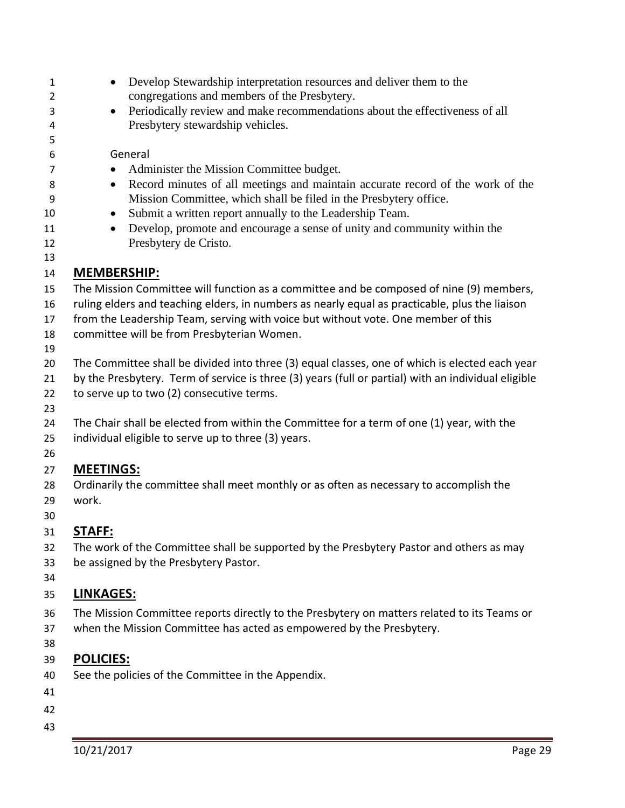|                    | Develop Stewardship interpretation resources and deliver them to the                                |
|--------------------|-----------------------------------------------------------------------------------------------------|
|                    | congregations and members of the Presbytery.                                                        |
| $\bullet$          | Periodically review and make recommendations about the effectiveness of all                         |
|                    | Presbytery stewardship vehicles.                                                                    |
|                    |                                                                                                     |
|                    | General                                                                                             |
|                    | Administer the Mission Committee budget.                                                            |
| $\bullet$          | Record minutes of all meetings and maintain accurate record of the work of the                      |
|                    | Mission Committee, which shall be filed in the Presbytery office.                                   |
| $\bullet$          | Submit a written report annually to the Leadership Team.                                            |
| $\bullet$          | Develop, promote and encourage a sense of unity and community within the                            |
|                    | Presbytery de Cristo.                                                                               |
|                    |                                                                                                     |
| <b>MEMBERSHIP:</b> |                                                                                                     |
|                    | The Mission Committee will function as a committee and be composed of nine (9) members,             |
|                    | ruling elders and teaching elders, in numbers as nearly equal as practicable, plus the liaison      |
|                    | from the Leadership Team, serving with voice but without vote. One member of this                   |
|                    | committee will be from Presbyterian Women.                                                          |
|                    |                                                                                                     |
|                    | The Committee shall be divided into three (3) equal classes, one of which is elected each year      |
|                    | by the Presbytery. Term of service is three (3) years (full or partial) with an individual eligible |
|                    | to serve up to two (2) consecutive terms.                                                           |
|                    |                                                                                                     |
|                    | The Chair shall be elected from within the Committee for a term of one (1) year, with the           |
|                    | individual eligible to serve up to three (3) years.                                                 |
|                    |                                                                                                     |
| <b>MEETINGS:</b>   |                                                                                                     |
|                    | Ordinarily the committee shall meet monthly or as often as necessary to accomplish the              |
| work.              |                                                                                                     |
|                    |                                                                                                     |
| <b>STAFF:</b>      |                                                                                                     |
|                    | The work of the Committee shall be supported by the Presbytery Pastor and others as may             |
|                    | be assigned by the Presbytery Pastor.                                                               |
|                    |                                                                                                     |
| <b>LINKAGES:</b>   |                                                                                                     |
|                    | The Mission Committee reports directly to the Presbytery on matters related to its Teams or         |
|                    | when the Mission Committee has acted as empowered by the Presbytery.                                |
|                    |                                                                                                     |
| <b>POLICIES:</b>   |                                                                                                     |
|                    | See the policies of the Committee in the Appendix.                                                  |
|                    |                                                                                                     |
|                    |                                                                                                     |
|                    |                                                                                                     |
|                    |                                                                                                     |
| 10/21/2017         | Page 29                                                                                             |
|                    |                                                                                                     |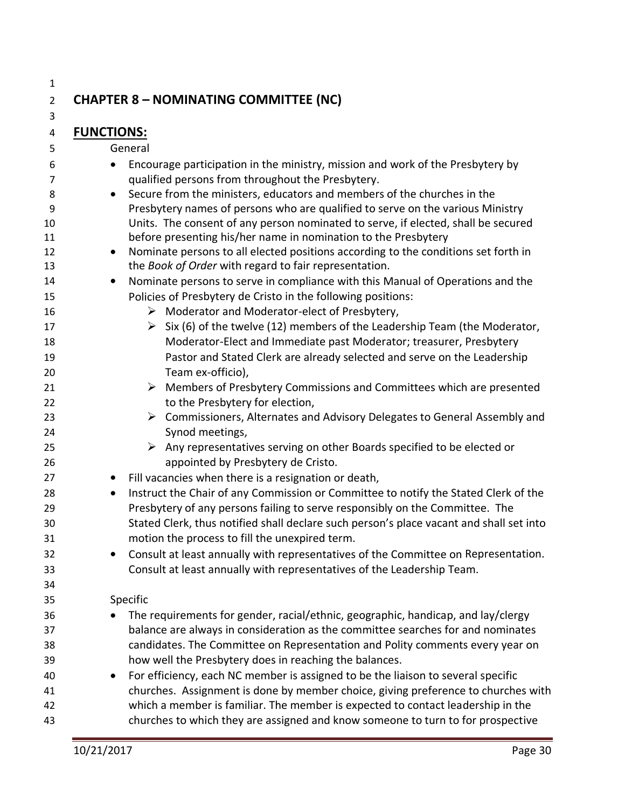## **CHAPTER 8 – NOMINATING COMMITTEE (NC)**

**FUNCTIONS:**

General

- Encourage participation in the ministry, mission and work of the Presbytery by qualified persons from throughout the Presbytery. • Secure from the ministers, educators and members of the churches in the
- Presbytery names of persons who are qualified to serve on the various Ministry Units. The consent of any person nominated to serve, if elected, shall be secured before presenting his/her name in nomination to the Presbytery
- 12 Nominate persons to all elected positions according to the conditions set forth in the *Book of Order* with regard to fair representation.

#### • Nominate persons to serve in compliance with this Manual of Operations and the Policies of Presbytery de Cristo in the following positions:

- ➢ Moderator and Moderator-elect of Presbytery,
- 17  $\triangleright$  Six (6) of the twelve (12) members of the Leadership Team (the Moderator, Moderator-Elect and Immediate past Moderator; treasurer, Presbytery Pastor and Stated Clerk are already selected and serve on the Leadership Team ex-officio),
- ➢ Members of Presbytery Commissions and Committees which are presented 22 to the Presbytery for election,
- ➢ Commissioners, Alternates and Advisory Delegates to General Assembly and Synod meetings,
- **Example 25** Any representatives serving on other Boards specified to be elected or appointed by Presbytery de Cristo.
- Fill vacancies when there is a resignation or death,
- Instruct the Chair of any Commission or Committee to notify the Stated Clerk of the Presbytery of any persons failing to serve responsibly on the Committee. The Stated Clerk, thus notified shall declare such person's place vacant and shall set into motion the process to fill the unexpired term.
- Consult at least annually with representatives of the Committee on Representation. Consult at least annually with representatives of the Leadership Team.

#### Specific

- The requirements for gender, racial/ethnic, geographic, handicap, and lay/clergy balance are always in consideration as the committee searches for and nominates candidates. The Committee on Representation and Polity comments every year on how well the Presbytery does in reaching the balances.
- For efficiency, each NC member is assigned to be the liaison to several specific churches. Assignment is done by member choice, giving preference to churches with which a member is familiar. The member is expected to contact leadership in the churches to which they are assigned and know someone to turn to for prospective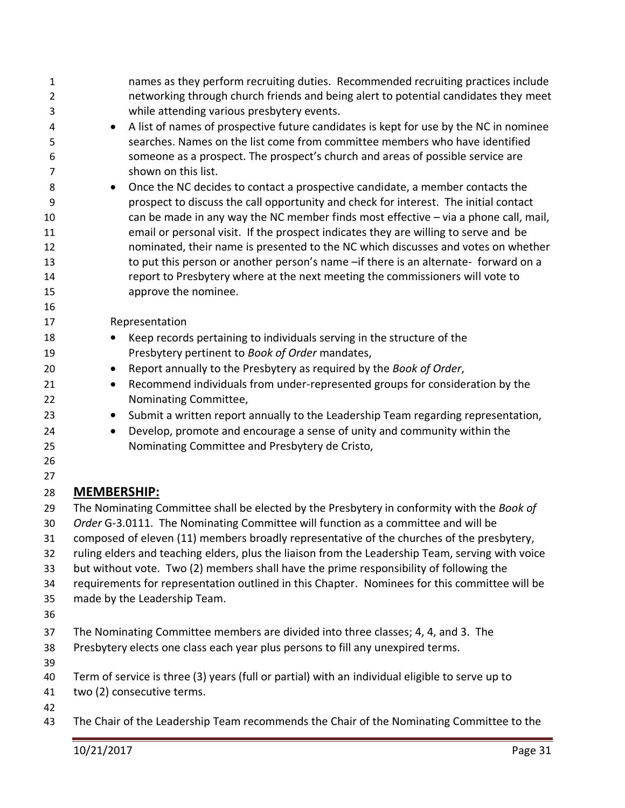| while attending various presbytery events.<br>3<br>4<br>$\bullet$<br>searches. Names on the list come from committee members who have identified<br>5<br>someone as a prospect. The prospect's church and areas of possible service are<br>6<br>shown on this list.<br>$\overline{7}$<br>Once the NC decides to contact a prospective candidate, a member contacts the<br>8<br>$\bullet$<br>prospect to discuss the call opportunity and check for interest. The initial contact<br>9<br>10<br>email or personal visit. If the prospect indicates they are willing to serve and be<br>11<br>12<br>13<br>report to Presbytery where at the next meeting the commissioners will vote to<br>14<br>approve the nominee.<br>15<br>16<br>Representation<br>17<br>18<br>Keep records pertaining to individuals serving in the structure of the<br>$\bullet$<br>Presbytery pertinent to Book of Order mandates,<br>19<br>Report annually to the Presbytery as required by the Book of Order,<br>20<br>$\bullet$<br>Recommend individuals from under-represented groups for consideration by the<br>21<br>$\bullet$<br>Nominating Committee,<br>22<br>23<br>$\bullet$<br>Develop, promote and encourage a sense of unity and community within the<br>24<br>$\bullet$<br>Nominating Committee and Presbytery de Cristo,<br>25<br>26<br>27<br><b>MEMBERSHIP:</b><br>28<br>The Nominating Committee shall be elected by the Presbytery in conformity with the Book of<br>29<br>Order G-3.0111. The Nominating Committee will function as a committee and will be<br>30<br>composed of eleven (11) members broadly representative of the churches of the presbytery,<br>31<br>ruling elders and teaching elders, plus the liaison from the Leadership Team, serving with voice<br>32<br>but without vote. Two (2) members shall have the prime responsibility of following the<br>33<br>requirements for representation outlined in this Chapter. Nominees for this committee will be<br>34<br>made by the Leadership Team.<br>35<br>36<br>The Nominating Committee members are divided into three classes; 4, 4, and 3. The<br>37<br>Presbytery elects one class each year plus persons to fill any unexpired terms.<br>38<br>39<br>Term of service is three (3) years (full or partial) with an individual eligible to serve up to<br>40<br>two (2) consecutive terms.<br>41<br>42<br>The Chair of the Leadership Team recommends the Chair of the Nominating Committee to the<br>43 | 1<br>$\overline{2}$ | names as they perform recruiting duties. Recommended recruiting practices include<br>networking through church friends and being alert to potential candidates they meet |
|---------------------------------------------------------------------------------------------------------------------------------------------------------------------------------------------------------------------------------------------------------------------------------------------------------------------------------------------------------------------------------------------------------------------------------------------------------------------------------------------------------------------------------------------------------------------------------------------------------------------------------------------------------------------------------------------------------------------------------------------------------------------------------------------------------------------------------------------------------------------------------------------------------------------------------------------------------------------------------------------------------------------------------------------------------------------------------------------------------------------------------------------------------------------------------------------------------------------------------------------------------------------------------------------------------------------------------------------------------------------------------------------------------------------------------------------------------------------------------------------------------------------------------------------------------------------------------------------------------------------------------------------------------------------------------------------------------------------------------------------------------------------------------------------------------------------------------------------------------------------------------------------------------------------------------------------------------------------------------------------------------------------------------------------------------------------------------------------------------------------------------------------------------------------------------------------------------------------------------------------------------------------------------------------------------------------------------------------------------------------------------------------------------------------------------------------------------------------------|---------------------|--------------------------------------------------------------------------------------------------------------------------------------------------------------------------|
|                                                                                                                                                                                                                                                                                                                                                                                                                                                                                                                                                                                                                                                                                                                                                                                                                                                                                                                                                                                                                                                                                                                                                                                                                                                                                                                                                                                                                                                                                                                                                                                                                                                                                                                                                                                                                                                                                                                                                                                                                                                                                                                                                                                                                                                                                                                                                                                                                                                                           |                     |                                                                                                                                                                          |
|                                                                                                                                                                                                                                                                                                                                                                                                                                                                                                                                                                                                                                                                                                                                                                                                                                                                                                                                                                                                                                                                                                                                                                                                                                                                                                                                                                                                                                                                                                                                                                                                                                                                                                                                                                                                                                                                                                                                                                                                                                                                                                                                                                                                                                                                                                                                                                                                                                                                           |                     | A list of names of prospective future candidates is kept for use by the NC in nominee                                                                                    |
|                                                                                                                                                                                                                                                                                                                                                                                                                                                                                                                                                                                                                                                                                                                                                                                                                                                                                                                                                                                                                                                                                                                                                                                                                                                                                                                                                                                                                                                                                                                                                                                                                                                                                                                                                                                                                                                                                                                                                                                                                                                                                                                                                                                                                                                                                                                                                                                                                                                                           |                     |                                                                                                                                                                          |
|                                                                                                                                                                                                                                                                                                                                                                                                                                                                                                                                                                                                                                                                                                                                                                                                                                                                                                                                                                                                                                                                                                                                                                                                                                                                                                                                                                                                                                                                                                                                                                                                                                                                                                                                                                                                                                                                                                                                                                                                                                                                                                                                                                                                                                                                                                                                                                                                                                                                           |                     |                                                                                                                                                                          |
|                                                                                                                                                                                                                                                                                                                                                                                                                                                                                                                                                                                                                                                                                                                                                                                                                                                                                                                                                                                                                                                                                                                                                                                                                                                                                                                                                                                                                                                                                                                                                                                                                                                                                                                                                                                                                                                                                                                                                                                                                                                                                                                                                                                                                                                                                                                                                                                                                                                                           |                     |                                                                                                                                                                          |
|                                                                                                                                                                                                                                                                                                                                                                                                                                                                                                                                                                                                                                                                                                                                                                                                                                                                                                                                                                                                                                                                                                                                                                                                                                                                                                                                                                                                                                                                                                                                                                                                                                                                                                                                                                                                                                                                                                                                                                                                                                                                                                                                                                                                                                                                                                                                                                                                                                                                           |                     |                                                                                                                                                                          |
|                                                                                                                                                                                                                                                                                                                                                                                                                                                                                                                                                                                                                                                                                                                                                                                                                                                                                                                                                                                                                                                                                                                                                                                                                                                                                                                                                                                                                                                                                                                                                                                                                                                                                                                                                                                                                                                                                                                                                                                                                                                                                                                                                                                                                                                                                                                                                                                                                                                                           |                     |                                                                                                                                                                          |
|                                                                                                                                                                                                                                                                                                                                                                                                                                                                                                                                                                                                                                                                                                                                                                                                                                                                                                                                                                                                                                                                                                                                                                                                                                                                                                                                                                                                                                                                                                                                                                                                                                                                                                                                                                                                                                                                                                                                                                                                                                                                                                                                                                                                                                                                                                                                                                                                                                                                           |                     | can be made in any way the NC member finds most effective - via a phone call, mail,                                                                                      |
|                                                                                                                                                                                                                                                                                                                                                                                                                                                                                                                                                                                                                                                                                                                                                                                                                                                                                                                                                                                                                                                                                                                                                                                                                                                                                                                                                                                                                                                                                                                                                                                                                                                                                                                                                                                                                                                                                                                                                                                                                                                                                                                                                                                                                                                                                                                                                                                                                                                                           |                     |                                                                                                                                                                          |
|                                                                                                                                                                                                                                                                                                                                                                                                                                                                                                                                                                                                                                                                                                                                                                                                                                                                                                                                                                                                                                                                                                                                                                                                                                                                                                                                                                                                                                                                                                                                                                                                                                                                                                                                                                                                                                                                                                                                                                                                                                                                                                                                                                                                                                                                                                                                                                                                                                                                           |                     | nominated, their name is presented to the NC which discusses and votes on whether                                                                                        |
|                                                                                                                                                                                                                                                                                                                                                                                                                                                                                                                                                                                                                                                                                                                                                                                                                                                                                                                                                                                                                                                                                                                                                                                                                                                                                                                                                                                                                                                                                                                                                                                                                                                                                                                                                                                                                                                                                                                                                                                                                                                                                                                                                                                                                                                                                                                                                                                                                                                                           |                     | to put this person or another person's name - if there is an alternate- forward on a                                                                                     |
|                                                                                                                                                                                                                                                                                                                                                                                                                                                                                                                                                                                                                                                                                                                                                                                                                                                                                                                                                                                                                                                                                                                                                                                                                                                                                                                                                                                                                                                                                                                                                                                                                                                                                                                                                                                                                                                                                                                                                                                                                                                                                                                                                                                                                                                                                                                                                                                                                                                                           |                     |                                                                                                                                                                          |
|                                                                                                                                                                                                                                                                                                                                                                                                                                                                                                                                                                                                                                                                                                                                                                                                                                                                                                                                                                                                                                                                                                                                                                                                                                                                                                                                                                                                                                                                                                                                                                                                                                                                                                                                                                                                                                                                                                                                                                                                                                                                                                                                                                                                                                                                                                                                                                                                                                                                           |                     |                                                                                                                                                                          |
|                                                                                                                                                                                                                                                                                                                                                                                                                                                                                                                                                                                                                                                                                                                                                                                                                                                                                                                                                                                                                                                                                                                                                                                                                                                                                                                                                                                                                                                                                                                                                                                                                                                                                                                                                                                                                                                                                                                                                                                                                                                                                                                                                                                                                                                                                                                                                                                                                                                                           |                     |                                                                                                                                                                          |
|                                                                                                                                                                                                                                                                                                                                                                                                                                                                                                                                                                                                                                                                                                                                                                                                                                                                                                                                                                                                                                                                                                                                                                                                                                                                                                                                                                                                                                                                                                                                                                                                                                                                                                                                                                                                                                                                                                                                                                                                                                                                                                                                                                                                                                                                                                                                                                                                                                                                           |                     |                                                                                                                                                                          |
|                                                                                                                                                                                                                                                                                                                                                                                                                                                                                                                                                                                                                                                                                                                                                                                                                                                                                                                                                                                                                                                                                                                                                                                                                                                                                                                                                                                                                                                                                                                                                                                                                                                                                                                                                                                                                                                                                                                                                                                                                                                                                                                                                                                                                                                                                                                                                                                                                                                                           |                     |                                                                                                                                                                          |
|                                                                                                                                                                                                                                                                                                                                                                                                                                                                                                                                                                                                                                                                                                                                                                                                                                                                                                                                                                                                                                                                                                                                                                                                                                                                                                                                                                                                                                                                                                                                                                                                                                                                                                                                                                                                                                                                                                                                                                                                                                                                                                                                                                                                                                                                                                                                                                                                                                                                           |                     |                                                                                                                                                                          |
|                                                                                                                                                                                                                                                                                                                                                                                                                                                                                                                                                                                                                                                                                                                                                                                                                                                                                                                                                                                                                                                                                                                                                                                                                                                                                                                                                                                                                                                                                                                                                                                                                                                                                                                                                                                                                                                                                                                                                                                                                                                                                                                                                                                                                                                                                                                                                                                                                                                                           |                     |                                                                                                                                                                          |
|                                                                                                                                                                                                                                                                                                                                                                                                                                                                                                                                                                                                                                                                                                                                                                                                                                                                                                                                                                                                                                                                                                                                                                                                                                                                                                                                                                                                                                                                                                                                                                                                                                                                                                                                                                                                                                                                                                                                                                                                                                                                                                                                                                                                                                                                                                                                                                                                                                                                           |                     |                                                                                                                                                                          |
|                                                                                                                                                                                                                                                                                                                                                                                                                                                                                                                                                                                                                                                                                                                                                                                                                                                                                                                                                                                                                                                                                                                                                                                                                                                                                                                                                                                                                                                                                                                                                                                                                                                                                                                                                                                                                                                                                                                                                                                                                                                                                                                                                                                                                                                                                                                                                                                                                                                                           |                     |                                                                                                                                                                          |
|                                                                                                                                                                                                                                                                                                                                                                                                                                                                                                                                                                                                                                                                                                                                                                                                                                                                                                                                                                                                                                                                                                                                                                                                                                                                                                                                                                                                                                                                                                                                                                                                                                                                                                                                                                                                                                                                                                                                                                                                                                                                                                                                                                                                                                                                                                                                                                                                                                                                           |                     | Submit a written report annually to the Leadership Team regarding representation,                                                                                        |
|                                                                                                                                                                                                                                                                                                                                                                                                                                                                                                                                                                                                                                                                                                                                                                                                                                                                                                                                                                                                                                                                                                                                                                                                                                                                                                                                                                                                                                                                                                                                                                                                                                                                                                                                                                                                                                                                                                                                                                                                                                                                                                                                                                                                                                                                                                                                                                                                                                                                           |                     |                                                                                                                                                                          |
|                                                                                                                                                                                                                                                                                                                                                                                                                                                                                                                                                                                                                                                                                                                                                                                                                                                                                                                                                                                                                                                                                                                                                                                                                                                                                                                                                                                                                                                                                                                                                                                                                                                                                                                                                                                                                                                                                                                                                                                                                                                                                                                                                                                                                                                                                                                                                                                                                                                                           |                     |                                                                                                                                                                          |
|                                                                                                                                                                                                                                                                                                                                                                                                                                                                                                                                                                                                                                                                                                                                                                                                                                                                                                                                                                                                                                                                                                                                                                                                                                                                                                                                                                                                                                                                                                                                                                                                                                                                                                                                                                                                                                                                                                                                                                                                                                                                                                                                                                                                                                                                                                                                                                                                                                                                           |                     |                                                                                                                                                                          |
|                                                                                                                                                                                                                                                                                                                                                                                                                                                                                                                                                                                                                                                                                                                                                                                                                                                                                                                                                                                                                                                                                                                                                                                                                                                                                                                                                                                                                                                                                                                                                                                                                                                                                                                                                                                                                                                                                                                                                                                                                                                                                                                                                                                                                                                                                                                                                                                                                                                                           |                     |                                                                                                                                                                          |
|                                                                                                                                                                                                                                                                                                                                                                                                                                                                                                                                                                                                                                                                                                                                                                                                                                                                                                                                                                                                                                                                                                                                                                                                                                                                                                                                                                                                                                                                                                                                                                                                                                                                                                                                                                                                                                                                                                                                                                                                                                                                                                                                                                                                                                                                                                                                                                                                                                                                           |                     |                                                                                                                                                                          |
|                                                                                                                                                                                                                                                                                                                                                                                                                                                                                                                                                                                                                                                                                                                                                                                                                                                                                                                                                                                                                                                                                                                                                                                                                                                                                                                                                                                                                                                                                                                                                                                                                                                                                                                                                                                                                                                                                                                                                                                                                                                                                                                                                                                                                                                                                                                                                                                                                                                                           |                     |                                                                                                                                                                          |
|                                                                                                                                                                                                                                                                                                                                                                                                                                                                                                                                                                                                                                                                                                                                                                                                                                                                                                                                                                                                                                                                                                                                                                                                                                                                                                                                                                                                                                                                                                                                                                                                                                                                                                                                                                                                                                                                                                                                                                                                                                                                                                                                                                                                                                                                                                                                                                                                                                                                           |                     |                                                                                                                                                                          |
|                                                                                                                                                                                                                                                                                                                                                                                                                                                                                                                                                                                                                                                                                                                                                                                                                                                                                                                                                                                                                                                                                                                                                                                                                                                                                                                                                                                                                                                                                                                                                                                                                                                                                                                                                                                                                                                                                                                                                                                                                                                                                                                                                                                                                                                                                                                                                                                                                                                                           |                     |                                                                                                                                                                          |
|                                                                                                                                                                                                                                                                                                                                                                                                                                                                                                                                                                                                                                                                                                                                                                                                                                                                                                                                                                                                                                                                                                                                                                                                                                                                                                                                                                                                                                                                                                                                                                                                                                                                                                                                                                                                                                                                                                                                                                                                                                                                                                                                                                                                                                                                                                                                                                                                                                                                           |                     |                                                                                                                                                                          |
|                                                                                                                                                                                                                                                                                                                                                                                                                                                                                                                                                                                                                                                                                                                                                                                                                                                                                                                                                                                                                                                                                                                                                                                                                                                                                                                                                                                                                                                                                                                                                                                                                                                                                                                                                                                                                                                                                                                                                                                                                                                                                                                                                                                                                                                                                                                                                                                                                                                                           |                     |                                                                                                                                                                          |
|                                                                                                                                                                                                                                                                                                                                                                                                                                                                                                                                                                                                                                                                                                                                                                                                                                                                                                                                                                                                                                                                                                                                                                                                                                                                                                                                                                                                                                                                                                                                                                                                                                                                                                                                                                                                                                                                                                                                                                                                                                                                                                                                                                                                                                                                                                                                                                                                                                                                           |                     |                                                                                                                                                                          |
|                                                                                                                                                                                                                                                                                                                                                                                                                                                                                                                                                                                                                                                                                                                                                                                                                                                                                                                                                                                                                                                                                                                                                                                                                                                                                                                                                                                                                                                                                                                                                                                                                                                                                                                                                                                                                                                                                                                                                                                                                                                                                                                                                                                                                                                                                                                                                                                                                                                                           |                     |                                                                                                                                                                          |
|                                                                                                                                                                                                                                                                                                                                                                                                                                                                                                                                                                                                                                                                                                                                                                                                                                                                                                                                                                                                                                                                                                                                                                                                                                                                                                                                                                                                                                                                                                                                                                                                                                                                                                                                                                                                                                                                                                                                                                                                                                                                                                                                                                                                                                                                                                                                                                                                                                                                           |                     |                                                                                                                                                                          |
|                                                                                                                                                                                                                                                                                                                                                                                                                                                                                                                                                                                                                                                                                                                                                                                                                                                                                                                                                                                                                                                                                                                                                                                                                                                                                                                                                                                                                                                                                                                                                                                                                                                                                                                                                                                                                                                                                                                                                                                                                                                                                                                                                                                                                                                                                                                                                                                                                                                                           |                     |                                                                                                                                                                          |
|                                                                                                                                                                                                                                                                                                                                                                                                                                                                                                                                                                                                                                                                                                                                                                                                                                                                                                                                                                                                                                                                                                                                                                                                                                                                                                                                                                                                                                                                                                                                                                                                                                                                                                                                                                                                                                                                                                                                                                                                                                                                                                                                                                                                                                                                                                                                                                                                                                                                           |                     |                                                                                                                                                                          |
|                                                                                                                                                                                                                                                                                                                                                                                                                                                                                                                                                                                                                                                                                                                                                                                                                                                                                                                                                                                                                                                                                                                                                                                                                                                                                                                                                                                                                                                                                                                                                                                                                                                                                                                                                                                                                                                                                                                                                                                                                                                                                                                                                                                                                                                                                                                                                                                                                                                                           |                     |                                                                                                                                                                          |
|                                                                                                                                                                                                                                                                                                                                                                                                                                                                                                                                                                                                                                                                                                                                                                                                                                                                                                                                                                                                                                                                                                                                                                                                                                                                                                                                                                                                                                                                                                                                                                                                                                                                                                                                                                                                                                                                                                                                                                                                                                                                                                                                                                                                                                                                                                                                                                                                                                                                           |                     |                                                                                                                                                                          |
|                                                                                                                                                                                                                                                                                                                                                                                                                                                                                                                                                                                                                                                                                                                                                                                                                                                                                                                                                                                                                                                                                                                                                                                                                                                                                                                                                                                                                                                                                                                                                                                                                                                                                                                                                                                                                                                                                                                                                                                                                                                                                                                                                                                                                                                                                                                                                                                                                                                                           |                     |                                                                                                                                                                          |
|                                                                                                                                                                                                                                                                                                                                                                                                                                                                                                                                                                                                                                                                                                                                                                                                                                                                                                                                                                                                                                                                                                                                                                                                                                                                                                                                                                                                                                                                                                                                                                                                                                                                                                                                                                                                                                                                                                                                                                                                                                                                                                                                                                                                                                                                                                                                                                                                                                                                           |                     |                                                                                                                                                                          |
|                                                                                                                                                                                                                                                                                                                                                                                                                                                                                                                                                                                                                                                                                                                                                                                                                                                                                                                                                                                                                                                                                                                                                                                                                                                                                                                                                                                                                                                                                                                                                                                                                                                                                                                                                                                                                                                                                                                                                                                                                                                                                                                                                                                                                                                                                                                                                                                                                                                                           |                     |                                                                                                                                                                          |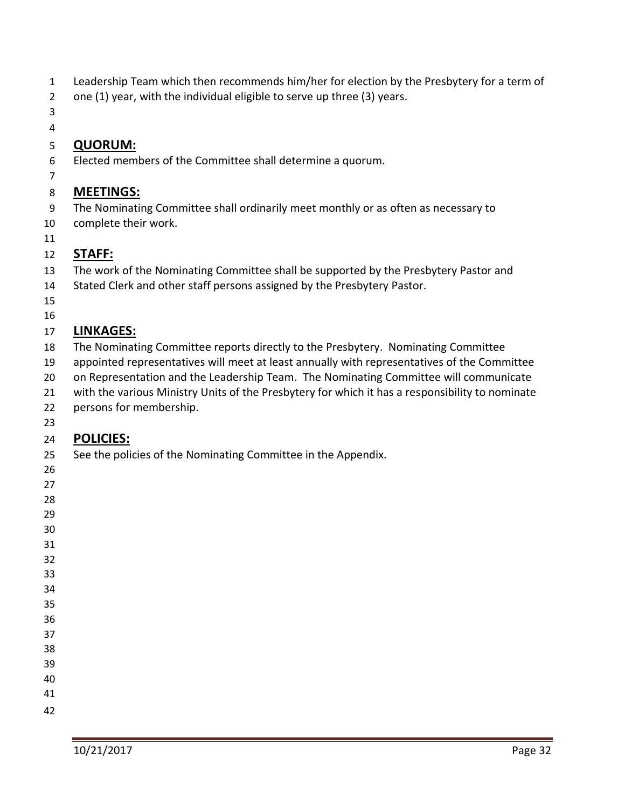- Leadership Team which then recommends him/her for election by the Presbytery for a term of
- one (1) year, with the individual eligible to serve up three (3) years.
- 

## **QUORUM:**

- Elected members of the Committee shall determine a quorum.
- 

## **MEETINGS:**

- The Nominating Committee shall ordinarily meet monthly or as often as necessary to
- complete their work.
- 

## **STAFF:**

- The work of the Nominating Committee shall be supported by the Presbytery Pastor and
- Stated Clerk and other staff persons assigned by the Presbytery Pastor.
- 

### 

## **LINKAGES:**

- The Nominating Committee reports directly to the Presbytery. Nominating Committee
- appointed representatives will meet at least annually with representatives of the Committee
- 20 on Representation and the Leadership Team. The Nominating Committee will communicate
- with the various Ministry Units of the Presbytery for which it has a responsibility to nominate
- persons for membership.
- 

## **POLICIES:**

- See the policies of the Nominating Committee in the Appendix.
- 

- 
- 
- 
- 
- 
- 
- 
-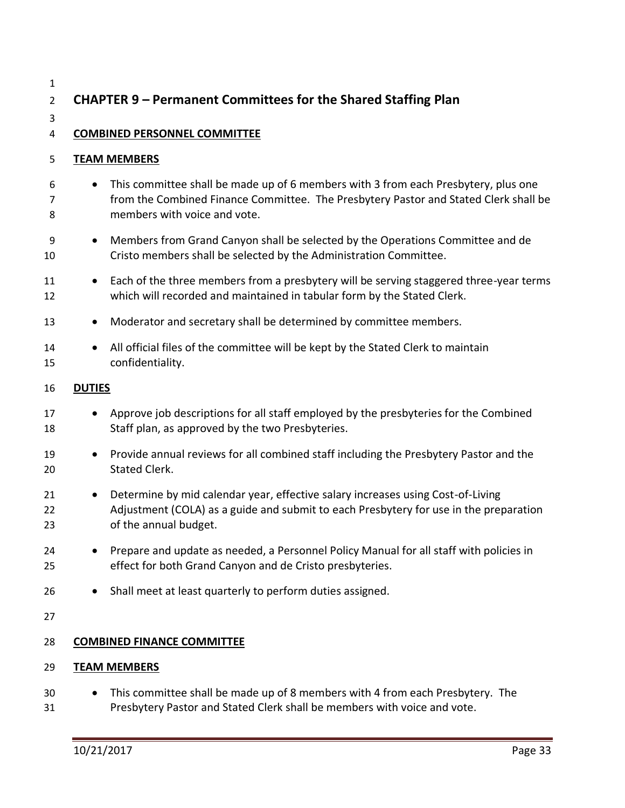| $\mathbf{1}$<br>$\overline{2}$ | <b>CHAPTER 9 - Permanent Committees for the Shared Staffing Plan</b>                                                                                                                                                    |  |  |
|--------------------------------|-------------------------------------------------------------------------------------------------------------------------------------------------------------------------------------------------------------------------|--|--|
| 3                              |                                                                                                                                                                                                                         |  |  |
| 4                              | <b>COMBINED PERSONNEL COMMITTEE</b>                                                                                                                                                                                     |  |  |
| 5                              | <b>TEAM MEMBERS</b>                                                                                                                                                                                                     |  |  |
| 6<br>7<br>8                    | This committee shall be made up of 6 members with 3 from each Presbytery, plus one<br>$\bullet$<br>from the Combined Finance Committee. The Presbytery Pastor and Stated Clerk shall be<br>members with voice and vote. |  |  |
| 9<br>10                        | Members from Grand Canyon shall be selected by the Operations Committee and de<br>$\bullet$<br>Cristo members shall be selected by the Administration Committee.                                                        |  |  |
| 11<br>12                       | Each of the three members from a presbytery will be serving staggered three-year terms<br>$\bullet$<br>which will recorded and maintained in tabular form by the Stated Clerk.                                          |  |  |
| 13                             | Moderator and secretary shall be determined by committee members.<br>$\bullet$                                                                                                                                          |  |  |
| 14<br>15                       | All official files of the committee will be kept by the Stated Clerk to maintain<br>$\bullet$<br>confidentiality.                                                                                                       |  |  |
| 16                             | <b>DUTIES</b>                                                                                                                                                                                                           |  |  |
| 17<br>18                       | Approve job descriptions for all staff employed by the presbyteries for the Combined<br>$\bullet$<br>Staff plan, as approved by the two Presbyteries.                                                                   |  |  |
| 19<br>20                       | Provide annual reviews for all combined staff including the Presbytery Pastor and the<br>$\bullet$<br><b>Stated Clerk.</b>                                                                                              |  |  |
| 21<br>22<br>23                 | Determine by mid calendar year, effective salary increases using Cost-of-Living<br>$\bullet$<br>Adjustment (COLA) as a guide and submit to each Presbytery for use in the preparation<br>of the annual budget.          |  |  |
| 24<br>25                       | Prepare and update as needed, a Personnel Policy Manual for all staff with policies in<br>effect for both Grand Canyon and de Cristo presbyteries.                                                                      |  |  |
| 26                             | Shall meet at least quarterly to perform duties assigned.                                                                                                                                                               |  |  |
| 27                             |                                                                                                                                                                                                                         |  |  |
| 28                             | <b>COMBINED FINANCE COMMITTEE</b>                                                                                                                                                                                       |  |  |
| 29                             | <b>TEAM MEMBERS</b>                                                                                                                                                                                                     |  |  |
| 30<br>31                       | This committee shall be made up of 8 members with 4 from each Presbytery. The<br>Presbytery Pastor and Stated Clerk shall be members with voice and vote.                                                               |  |  |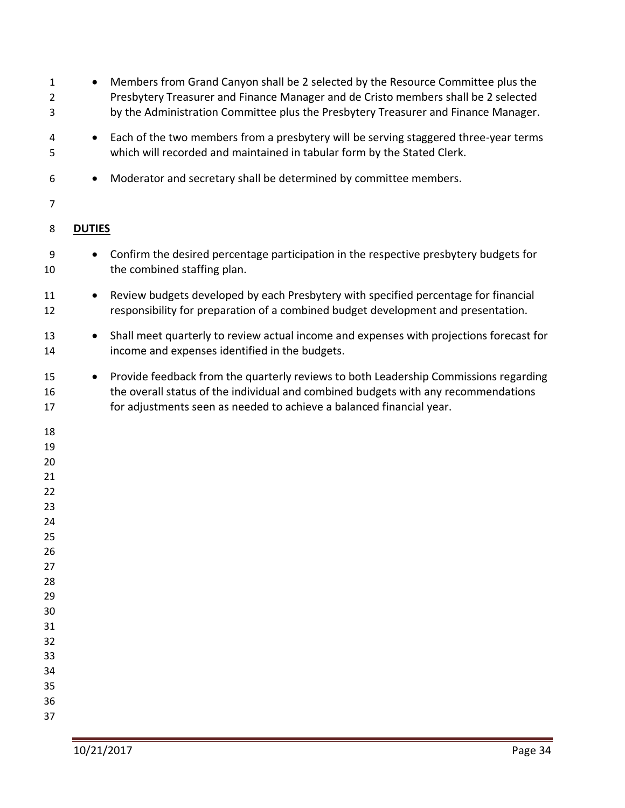| 1<br>2<br>3    |               | Members from Grand Canyon shall be 2 selected by the Resource Committee plus the<br>Presbytery Treasurer and Finance Manager and de Cristo members shall be 2 selected<br>by the Administration Committee plus the Presbytery Treasurer and Finance Manager. |
|----------------|---------------|--------------------------------------------------------------------------------------------------------------------------------------------------------------------------------------------------------------------------------------------------------------|
| 4<br>5         |               | Each of the two members from a presbytery will be serving staggered three-year terms<br>which will recorded and maintained in tabular form by the Stated Clerk.                                                                                              |
| 6              |               | Moderator and secretary shall be determined by committee members.                                                                                                                                                                                            |
| 7              |               |                                                                                                                                                                                                                                                              |
| 8              | <b>DUTIES</b> |                                                                                                                                                                                                                                                              |
| 9<br>10        |               | Confirm the desired percentage participation in the respective presbytery budgets for<br>the combined staffing plan.                                                                                                                                         |
| 11<br>12       |               | Review budgets developed by each Presbytery with specified percentage for financial<br>responsibility for preparation of a combined budget development and presentation.                                                                                     |
| 13<br>14       | $\bullet$     | Shall meet quarterly to review actual income and expenses with projections forecast for<br>income and expenses identified in the budgets.                                                                                                                    |
| 15<br>16<br>17 |               | Provide feedback from the quarterly reviews to both Leadership Commissions regarding<br>the overall status of the individual and combined budgets with any recommendations<br>for adjustments seen as needed to achieve a balanced financial year.           |
| 18             |               |                                                                                                                                                                                                                                                              |
| 19             |               |                                                                                                                                                                                                                                                              |
| 20             |               |                                                                                                                                                                                                                                                              |
| 21             |               |                                                                                                                                                                                                                                                              |
| 22             |               |                                                                                                                                                                                                                                                              |
| 23             |               |                                                                                                                                                                                                                                                              |
| 24             |               |                                                                                                                                                                                                                                                              |
| 25<br>26       |               |                                                                                                                                                                                                                                                              |
| 27             |               |                                                                                                                                                                                                                                                              |
| 28             |               |                                                                                                                                                                                                                                                              |
| 29             |               |                                                                                                                                                                                                                                                              |
| 30             |               |                                                                                                                                                                                                                                                              |
| 31             |               |                                                                                                                                                                                                                                                              |
| 32             |               |                                                                                                                                                                                                                                                              |
| 33             |               |                                                                                                                                                                                                                                                              |
| 34             |               |                                                                                                                                                                                                                                                              |
| 35             |               |                                                                                                                                                                                                                                                              |
| 36             |               |                                                                                                                                                                                                                                                              |
| 37             |               |                                                                                                                                                                                                                                                              |
|                |               |                                                                                                                                                                                                                                                              |